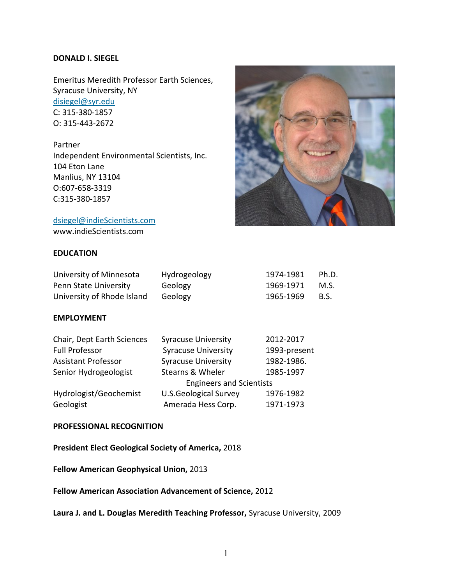### **DONALD I. SIEGEL**

Emeritus Meredith Professor Earth Sciences, Syracuse University, NY [disiegel@syr.edu](mailto:disiegel@syr.edu) C: 315-380-1857 O: 315-443-2672

Partner Independent Environmental Scientists, Inc. 104 Eton Lane Manlius, NY 13104 O:607-658-3319 C:315-380-1857



[dsiegel@indieScientists.com](mailto:dsiegel@indieScientists.com)

www.indieScientists.com

# **EDUCATION**

| University of Minnesota    | Hydrogeology | 1974-1981 | Ph.D.       |
|----------------------------|--------------|-----------|-------------|
| Penn State University      | Geology      | 1969-1971 | M.S.        |
| University of Rhode Island | Geology      | 1965-1969 | <b>B.S.</b> |

### **EMPLOYMENT**

| Chair, Dept Earth Sciences | <b>Syracuse University</b>               | 2012-2017    |  |
|----------------------------|------------------------------------------|--------------|--|
| <b>Full Professor</b>      | <b>Syracuse University</b>               | 1993-present |  |
| <b>Assistant Professor</b> | <b>Syracuse University</b>               | 1982-1986.   |  |
| Senior Hydrogeologist      | 1985-1997<br><b>Stearns &amp; Wheler</b> |              |  |
|                            | <b>Engineers and Scientists</b>          |              |  |
| Hydrologist/Geochemist     | <b>U.S.Geological Survey</b>             | 1976-1982    |  |
| Geologist                  | Amerada Hess Corp.                       | 1971-1973    |  |

#### **PROFESSIONAL RECOGNITION**

**President Elect Geological Society of America,** 2018

**Fellow American Geophysical Union,** 2013

**Fellow American Association Advancement of Science,** 2012

**Laura J. and L. Douglas Meredith Teaching Professor,** Syracuse University, 2009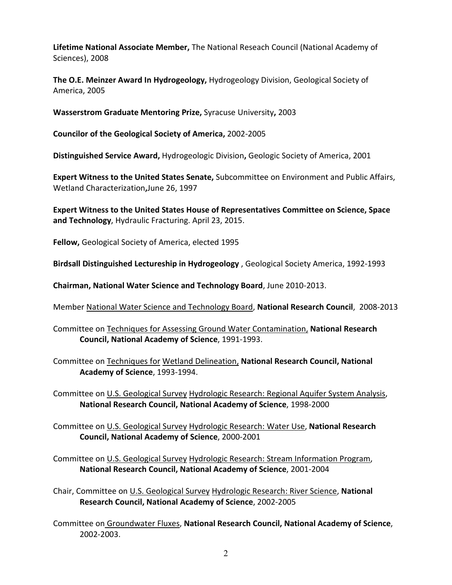**Lifetime National Associate Member,** The National Reseach Council (National Academy of Sciences), 2008

**The O.E. Meinzer Award In Hydrogeology,** Hydrogeology Division, Geological Society of America, 2005

**Wasserstrom Graduate Mentoring Prize,** Syracuse University**,** 2003

**Councilor of the Geological Society of America,** 2002-2005

**Distinguished Service Award,** Hydrogeologic Division**,** Geologic Society of America, 2001

**Expert Witness to the United States Senate,** Subcommittee on Environment and Public Affairs, Wetland Characterization**,**June 26, 1997

**Expert Witness to the United States House of Representatives Committee on Science, Space and Technology**, Hydraulic Fracturing. April 23, 2015.

**Fellow,** Geological Society of America, elected 1995

**Birdsall Distinguished Lectureship in Hydrogeology** , Geological Society America, 1992-1993

**Chairman, National Water Science and Technology Board**, June 2010-2013.

Member National Water Science and Technology Board, **National Research Council**, 2008-2013

Committee on Techniques for Assessing Ground Water Contamination, **National Research Council, National Academy of Science**, 1991-1993.

Committee on Techniques for Wetland Delineation, **National Research Council, National Academy of Science**, 1993-1994.

Committee on U.S. Geological Survey Hydrologic Research: Regional Aquifer System Analysis, **National Research Council, National Academy of Science**, 1998-2000

Committee on U.S. Geological Survey Hydrologic Research: Water Use, **National Research Council, National Academy of Science**, 2000-2001

Committee on U.S. Geological Survey Hydrologic Research: Stream Information Program, **National Research Council, National Academy of Science**, 2001-2004

Chair, Committee on U.S. Geological Survey Hydrologic Research: River Science, **National Research Council, National Academy of Science**, 2002-2005

Committee on Groundwater Fluxes, **National Research Council, National Academy of Science**, 2002-2003.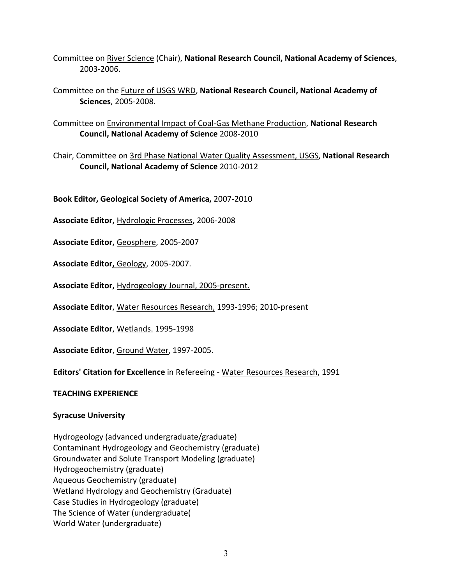- Committee on River Science (Chair), **National Research Council, National Academy of Sciences**, 2003-2006.
- Committee on the Future of USGS WRD, **National Research Council, National Academy of Sciences**, 2005-2008.
- Committee on Environmental Impact of Coal-Gas Methane Production, **National Research Council, National Academy of Science** 2008-2010
- Chair, Committee on 3rd Phase National Water Quality Assessment, USGS, **National Research Council, National Academy of Science** 2010-2012

**Book Editor, Geological Society of America,** 2007-2010

**Associate Editor,** Hydrologic Processes, 2006-2008

**Associate Editor,** Geosphere, 2005-2007

**Associate Editor,** Geology, 2005-2007.

**Associate Editor,** Hydrogeology Journal, 2005-present.

**Associate Editor**, Water Resources Research, 1993-1996; 2010-present

**Associate Editor**, Wetlands. 1995-1998

**Associate Editor**, Ground Water, 1997-2005.

**Editors' Citation for Excellence** in Refereeing - Water Resources Research, 1991

#### **TEACHING EXPERIENCE**

# **Syracuse University**

Hydrogeology (advanced undergraduate/graduate) Contaminant Hydrogeology and Geochemistry (graduate) Groundwater and Solute Transport Modeling (graduate) Hydrogeochemistry (graduate) Aqueous Geochemistry (graduate) Wetland Hydrology and Geochemistry (Graduate) Case Studies in Hydrogeology (graduate) The Science of Water (undergraduate( World Water (undergraduate)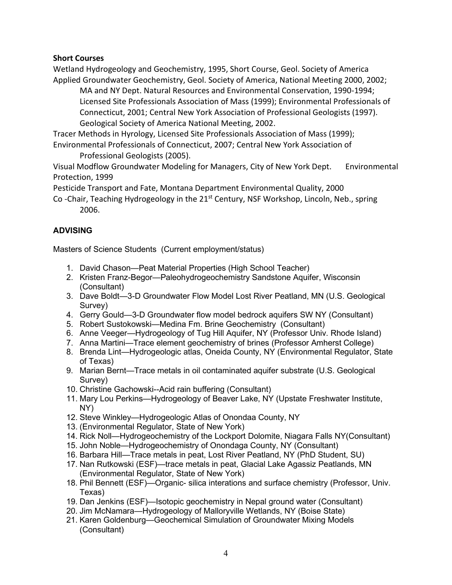# **Short Courses**

Wetland Hydrogeology and Geochemistry, 1995, Short Course, Geol. Society of America Applied Groundwater Geochemistry, Geol. Society of America, National Meeting 2000, 2002;

MA and NY Dept. Natural Resources and Environmental Conservation, 1990-1994; Licensed Site Professionals Association of Mass (1999); Environmental Professionals of Connecticut, 2001; Central New York Association of Professional Geologists (1997). Geological Society of America National Meeting, 2002.

Tracer Methods in Hyrology, Licensed Site Professionals Association of Mass (1999); Environmental Professionals of Connecticut, 2007; Central New York Association of Professional Geologists (2005).

Visual Modflow Groundwater Modeling for Managers, City of New York Dept. Environmental Protection, 1999

Pesticide Transport and Fate, Montana Department Environmental Quality, 2000

Co -Chair, Teaching Hydrogeology in the 21<sup>st</sup> Century, NSF Workshop, Lincoln, Neb., spring 2006.

# **ADVISING**

Masters of Science Students (Current employment/status)

- 1. David Chason—Peat Material Properties (High School Teacher)
- 2. Kristen Franz-Begor—Paleohydrogeochemistry Sandstone Aquifer, Wisconsin (Consultant)
- 3. Dave Boldt—3-D Groundwater Flow Model Lost River Peatland, MN (U.S. Geological Survey)
- 4. Gerry Gould—3-D Groundwater flow model bedrock aquifers SW NY (Consultant)
- 5. Robert Sustokowski—Medina Fm. Brine Geochemistry (Consultant)
- 6. Anne Veeger—Hydrogeology of Tug Hill Aquifer, NY (Professor Univ. Rhode Island)
- 7. Anna Martini—Trace element geochemistry of brines (Professor Amherst College)
- 8. Brenda Lint—Hydrogeologic atlas, Oneida County, NY (Environmental Regulator, State of Texas)
- 9. Marian Bernt—Trace metals in oil contaminated aquifer substrate (U.S. Geological Survey)
- 10. Christine Gachowski--Acid rain buffering (Consultant)
- 11. Mary Lou Perkins—Hydrogeology of Beaver Lake, NY (Upstate Freshwater Institute, NY)
- 12. Steve Winkley—Hydrogeologic Atlas of Onondaa County, NY
- 13. (Environmental Regulator, State of New York)
- 14. Rick Noll—Hydrogeochemistry of the Lockport Dolomite, Niagara Falls NY(Consultant)
- 15. John Noble—Hydrogeochemistry of Onondaga County, NY (Consultant)
- 16. Barbara Hill—Trace metals in peat, Lost River Peatland, NY (PhD Student, SU)
- 17. Nan Rutkowski (ESF)—trace metals in peat, Glacial Lake Agassiz Peatlands, MN (Environmental Regulator, State of New York)
- 18. Phil Bennett (ESF)—Organic- silica interations and surface chemistry (Professor, Univ. Texas)
- 19. Dan Jenkins (ESF)—Isotopic geochemistry in Nepal ground water (Consultant)
- 20. Jim McNamara—Hydrogeology of Malloryville Wetlands, NY (Boise State)
- 21. Karen Goldenburg—Geochemical Simulation of Groundwater Mixing Models (Consultant)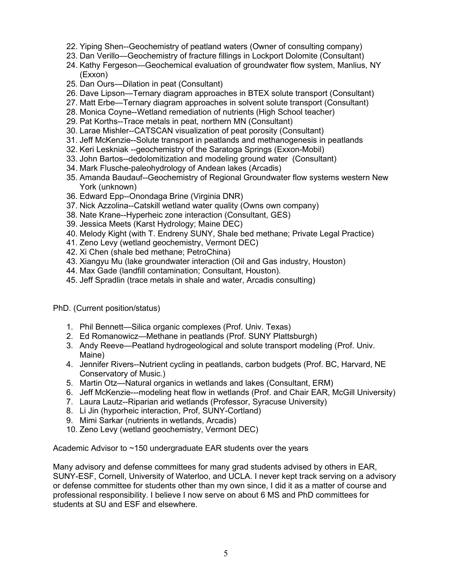- 22. Yiping Shen--Geochemistry of peatland waters (Owner of consulting company)
- 23. Dan Verillo—Geochemistry of fracture fillings in Lockport Dolomite (Consultant)
- 24. Kathy Fergeson—Geochemical evaluation of groundwater flow system, Manlius, NY (Exxon)
- 25. Dan Ours—Dilation in peat (Consultant)
- 26. Dave Lipson—Ternary diagram approaches in BTEX solute transport (Consultant)
- 27. Matt Erbe—Ternary diagram approaches in solvent solute transport (Consultant)
- 28. Monica Coyne--Wetland remediation of nutrients (High School teacher)
- 29. Pat Korths--Trace metals in peat, northern MN (Consultant)
- 30. Larae Mishler--CATSCAN visualization of peat porosity (Consultant)
- 31. Jeff McKenzie--Solute transport in peatlands and methanogenesis in peatlands
- 32. Keri Leskniak --geochemistry of the Saratoga Springs (Exxon-Mobil)
- 33. John Bartos--dedolomitization and modeling ground water (Consultant)
- 34. Mark Flusche-paleohydrology of Andean lakes (Arcadis)
- 35. Amanda Baudauf--Geochemistry of Regional Groundwater flow systems western New York (unknown)
- 36. Edward Epp--Onondaga Brine (Virginia DNR)
- 37. Nick Azzolina--Catskill wetland water quality (Owns own company)
- 38. Nate Krane--Hyperheic zone interaction (Consultant, GES)
- 39. Jessica Meets (Karst Hydrology; Maine DEC)
- 40. Melody Kight (with T. Endreny SUNY, Shale bed methane; Private Legal Practice)
- 41. Zeno Levy (wetland geochemistry, Vermont DEC)
- 42. Xi Chen (shale bed methane; PetroChina)
- 43. Xiangyu Mu (lake groundwater interaction (Oil and Gas industry, Houston)
- 44. Max Gade (landfill contamination; Consultant, Houston).
- 45. Jeff Spradlin (trace metals in shale and water, Arcadis consulting)

PhD. (Current position/status)

- 1. Phil Bennett—Silica organic complexes (Prof. Univ. Texas)
- 2. Ed Romanowicz—Methane in peatlands (Prof. SUNY Plattsburgh)
- 3. Andy Reeve—Peatland hydrogeological and solute transport modeling (Prof. Univ. Maine)
- 4. Jennifer Rivers--Nutrient cycling in peatlands, carbon budgets (Prof. BC, Harvard, NE Conservatory of Music.)
- 5. Martin Otz—Natural organics in wetlands and lakes (Consultant, ERM)
- 6. Jeff McKenzie---modeling heat flow in wetlands (Prof. and Chair EAR, McGill University)
- 7. Laura Lautz--Riparian arid wetlands (Professor, Syracuse University)
- 8. Li Jin (hyporheic interaction, Prof, SUNY-Cortland)
- 9. Mimi Sarkar (nutrients in wetlands, Arcadis)
- 10. Zeno Levy (wetland geochemistry, Vermont DEC)

Academic Advisor to ~150 undergraduate EAR students over the years

Many advisory and defense committees for many grad students advised by others in EAR, SUNY-ESF, Cornell, University of Waterloo, and UCLA. I never kept track serving on a advisory or defense committee for students other than my own since, I did it as a matter of course and professional responsibility. I believe I now serve on about 6 MS and PhD committees for students at SU and ESF and elsewhere.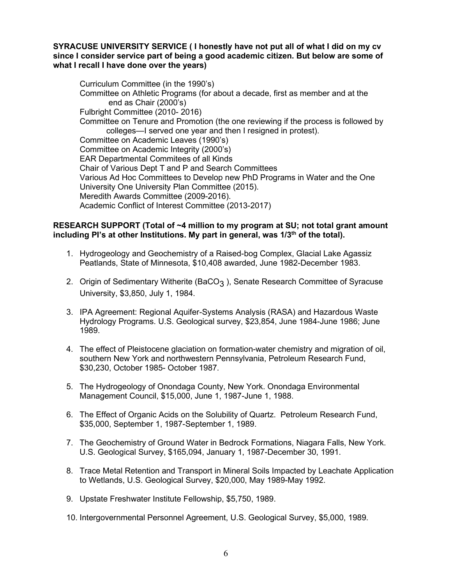### **SYRACUSE UNIVERSITY SERVICE ( I honestly have not put all of what I did on my cv since I consider service part of being a good academic citizen. But below are some of what I recall I have done over the years)**

Curriculum Committee (in the 1990's) Committee on Athletic Programs (for about a decade, first as member and at the end as Chair (2000's) Fulbright Committee (2010- 2016) Committee on Tenure and Promotion (the one reviewing if the process is followed by colleges—I served one year and then I resigned in protest). Committee on Academic Leaves (1990's) Committee on Academic Integrity (2000's) EAR Departmental Commitees of all Kinds Chair of Various Dept T and P and Search Committees Various Ad Hoc Committees to Develop new PhD Programs in Water and the One University One University Plan Committee (2015). Meredith Awards Committee (2009-2016). Academic Conflict of Interest Committee (2013-2017)

# **RESEARCH SUPPORT (Total of ~4 million to my program at SU; not total grant amount**  including PI's at other Institutions. My part in general, was 1/3<sup>th</sup> of the total).

- 1. Hydrogeology and Geochemistry of a Raised-bog Complex, Glacial Lake Agassiz Peatlands, State of Minnesota, \$10,408 awarded, June 1982-December 1983.
- 2. Origin of Sedimentary Witherite (BaCO<sub>3</sub>), Senate Research Committee of Syracuse University, \$3,850, July 1, 1984.
- 3. IPA Agreement: Regional Aquifer-Systems Analysis (RASA) and Hazardous Waste Hydrology Programs. U.S. Geological survey, \$23,854, June 1984-June 1986; June 1989.
- 4. The effect of Pleistocene glaciation on formation-water chemistry and migration of oil, southern New York and northwestern Pennsylvania, Petroleum Research Fund, \$30,230, October 1985- October 1987.
- 5. The Hydrogeology of Onondaga County, New York. Onondaga Environmental Management Council, \$15,000, June 1, 1987-June 1, 1988.
- 6. The Effect of Organic Acids on the Solubility of Quartz. Petroleum Research Fund, \$35,000, September 1, 1987-September 1, 1989.
- 7. The Geochemistry of Ground Water in Bedrock Formations, Niagara Falls, New York. U.S. Geological Survey, \$165,094, January 1, 1987-December 30, 1991.
- 8. Trace Metal Retention and Transport in Mineral Soils Impacted by Leachate Application to Wetlands, U.S. Geological Survey, \$20,000, May 1989-May 1992.
- 9. Upstate Freshwater Institute Fellowship, \$5,750, 1989.
- 10. Intergovernmental Personnel Agreement, U.S. Geological Survey, \$5,000, 1989.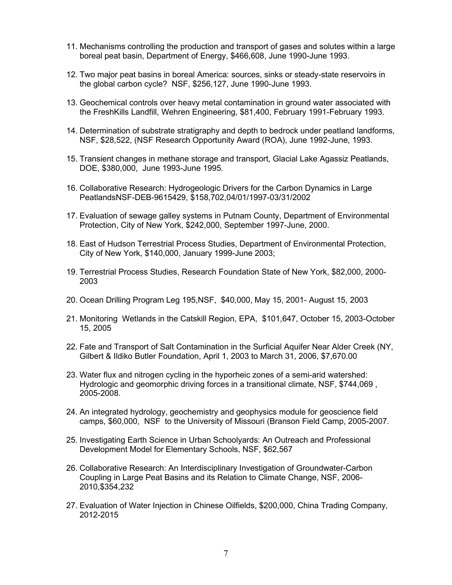- 11. Mechanisms controlling the production and transport of gases and solutes within a large boreal peat basin, Department of Energy, \$466,608, June 1990-June 1993.
- 12. Two major peat basins in boreal America: sources, sinks or steady-state reservoirs in the global carbon cycle? NSF, \$256,127, June 1990-June 1993.
- 13. Geochemical controls over heavy metal contamination in ground water associated with the FreshKills Landfill, Wehren Engineering, \$81,400, February 1991-February 1993.
- 14. Determination of substrate stratigraphy and depth to bedrock under peatland landforms, NSF, \$28,522, (NSF Research Opportunity Award (ROA), June 1992-June, 1993.
- 15. Transient changes in methane storage and transport, Glacial Lake Agassiz Peatlands, DOE, \$380,000, June 1993-June 1995.
- 16. Collaborative Research: Hydrogeologic Drivers for the Carbon Dynamics in Large PeatlandsNSF-DEB-9615429, \$158,702,04/01/1997-03/31/2002
- 17. Evaluation of sewage galley systems in Putnam County, Department of Environmental Protection, City of New York, \$242,000, September 1997-June, 2000.
- 18. East of Hudson Terrestrial Process Studies, Department of Environmental Protection, City of New York, \$140,000, January 1999-June 2003;
- 19. Terrestrial Process Studies, Research Foundation State of New York, \$82,000, 2000- 2003
- 20. Ocean Drilling Program Leg 195,NSF, \$40,000, May 15, 2001- August 15, 2003
- 21. Monitoring Wetlands in the Catskill Region, EPA, \$101,647, October 15, 2003-October 15, 2005
- 22. Fate and Transport of Salt Contamination in the Surficial Aquifer Near Alder Creek (NY, Gilbert & Ildiko Butler Foundation, April 1, 2003 to March 31, 2006, \$7,670.00
- 23. Water flux and nitrogen cycling in the hyporheic zones of a semi-arid watershed: Hydrologic and geomorphic driving forces in a transitional climate, NSF, \$744,069 , 2005-2008.
- 24. An integrated hydrology, geochemistry and geophysics module for geoscience field camps, \$60,000, NSF to the University of Missouri (Branson Field Camp, 2005-2007.
- 25. Investigating Earth Science in Urban Schoolyards: An Outreach and Professional Development Model for Elementary Schools, NSF, \$62,567
- 26. Collaborative Research: An Interdisciplinary Investigation of Groundwater-Carbon Coupling in Large Peat Basins and its Relation to Climate Change, NSF, 2006- 2010,\$354,232
- 27. Evaluation of Water Injection in Chinese Oilfields, \$200,000, China Trading Company, 2012-2015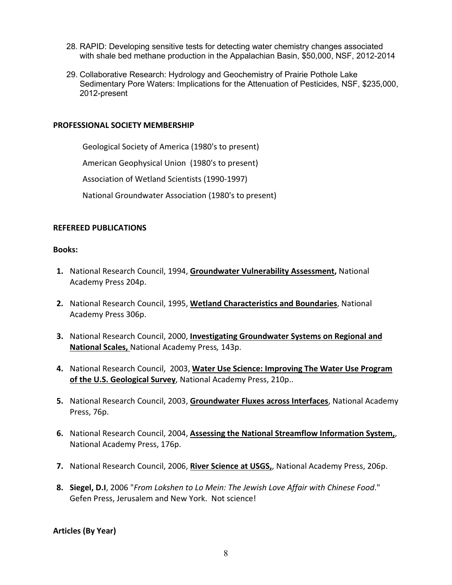- 28. RAPID: Developing sensitive tests for detecting water chemistry changes associated with shale bed methane production in the Appalachian Basin, \$50,000, NSF, 2012-2014
- 29. Collaborative Research: Hydrology and Geochemistry of Prairie Pothole Lake Sedimentary Pore Waters: Implications for the Attenuation of Pesticides, NSF, \$235,000, 2012-present

#### **PROFESSIONAL SOCIETY MEMBERSHIP**

Geological Society of America (1980's to present)

American Geophysical Union (1980's to present)

Association of Wetland Scientists (1990-1997)

National Groundwater Association (1980's to present)

#### **REFEREED PUBLICATIONS**

#### **Books:**

- **1.** National Research Council, 1994, **Groundwater Vulnerability Assessment,** National Academy Press 204p.
- **2.** National Research Council, 1995, **Wetland Characteristics and Boundaries**, National Academy Press 306p.
- **3.** National Research Council, 2000, **Investigating Groundwater Systems on Regional and National Scales,** National Academy Press*,* 143p.
- **4.** National Research Council, 2003, **Water Use Science: Improving The Water Use Program of the U.S. Geological Survey**, National Academy Press, 210p..
- **5.** National Research Council, 2003, **Groundwater Fluxes across Interfaces**, National Academy Press, 76p.
- **6.** National Research Council, 2004, **Assessing the National Streamflow Information System,**, National Academy Press, 176p.
- **7.** National Research Council, 2006, **River Science at USGS,**, National Academy Press, 206p.
- **8. Siegel, D.I**, 2006 "*From Lokshen to Lo Mein: The Jewish Love Affair with Chinese Food*." Gefen Press, Jerusalem and New York. Not science!

**Articles (By Year)**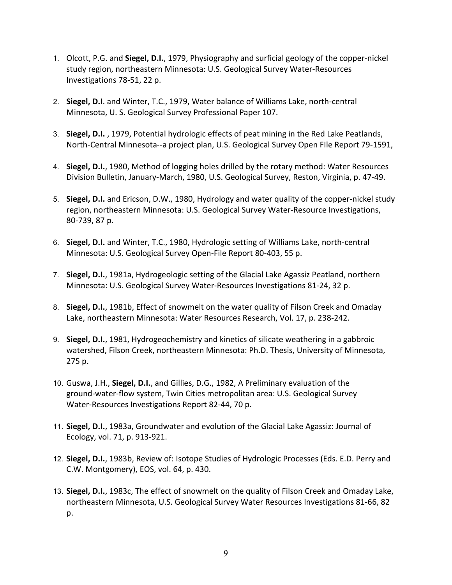- 1. Olcott, P.G. and **Siegel, D.I.**, 1979, Physiography and surficial geology of the copper-nickel study region, northeastern Minnesota: U.S. Geological Survey Water-Resources Investigations 78-51, 22 p.
- 2. **Siegel, D.I**. and Winter, T.C., 1979, Water balance of Williams Lake, north-central Minnesota, U. S. Geological Survey Professional Paper 107.
- 3. **Siegel, D.I.** , 1979, Potential hydrologic effects of peat mining in the Red Lake Peatlands, North-Central Minnesota--a project plan, U.S. Geological Survey Open FIle Report 79-1591,
- 4. **Siegel, D.I.**, 1980, Method of logging holes drilled by the rotary method: Water Resources Division Bulletin, January-March, 1980, U.S. Geological Survey, Reston, Virginia, p. 47-49.
- 5. **Siegel, D.I.** and Ericson, D.W., 1980, Hydrology and water quality of the copper-nickel study region, northeastern Minnesota: U.S. Geological Survey Water-Resource Investigations, 80-739, 87 p.
- 6. **Siegel, D.I.** and Winter, T.C., 1980, Hydrologic setting of Williams Lake, north-central Minnesota: U.S. Geological Survey Open-File Report 80-403, 55 p.
- 7. **Siegel, D.I.**, 1981a, Hydrogeologic setting of the Glacial Lake Agassiz Peatland, northern Minnesota: U.S. Geological Survey Water-Resources Investigations 81-24, 32 p.
- 8. **Siegel, D.I.**, 1981b, Effect of snowmelt on the water quality of Filson Creek and Omaday Lake, northeastern Minnesota: Water Resources Research, Vol. 17, p. 238-242.
- 9. **Siegel, D.I.**, 1981, Hydrogeochemistry and kinetics of silicate weathering in a gabbroic watershed, Filson Creek, northeastern Minnesota: Ph.D. Thesis, University of Minnesota, 275 p.
- 10. Guswa, J.H., **Siegel, D.I.**, and Gillies, D.G., 1982, A Preliminary evaluation of the ground-water-flow system, Twin Cities metropolitan area: U.S. Geological Survey Water-Resources Investigations Report 82-44, 70 p.
- 11. **Siegel, D.I.**, 1983a, Groundwater and evolution of the Glacial Lake Agassiz: Journal of Ecology, vol. 71, p. 913-921.
- 12. **Siegel, D.I.**, 1983b, Review of: Isotope Studies of Hydrologic Processes (Eds. E.D. Perry and C.W. Montgomery), EOS, vol. 64, p. 430.
- 13. **Siegel, D.I.**, 1983c, The effect of snowmelt on the quality of Filson Creek and Omaday Lake, northeastern Minnesota, U.S. Geological Survey Water Resources Investigations 81-66, 82 p.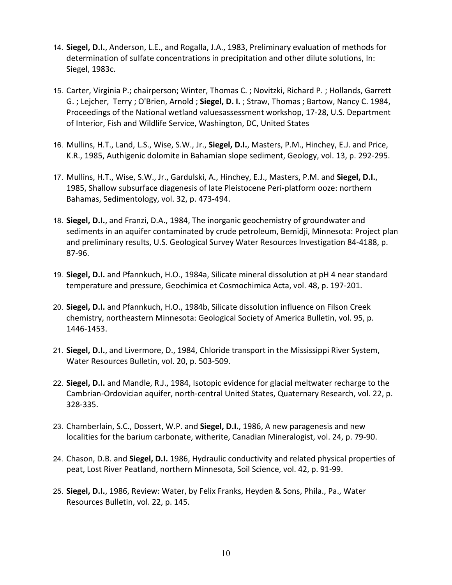- 14. **Siegel, D.I.**, Anderson, L.E., and Rogalla, J.A., 1983, Preliminary evaluation of methods for determination of sulfate concentrations in precipitation and other dilute solutions, In: Siegel, 1983c.
- 15. Carter, Virginia P.; chairperson; Winter, Thomas C. ; Novitzki, Richard P. ; Hollands, Garrett G. ; Lejcher, Terry ; O'Brien, Arnold ; **Siegel, D. I.** ; Straw, Thomas ; Bartow, Nancy C. 1984, Proceedings of the National wetland valuesassessment workshop, 17-28, U.S. Department of Interior, Fish and Wildlife Service, Washington, DC, United States
- 16. Mullins, H.T., Land, L.S., Wise, S.W., Jr., **Siegel, D.I.**, Masters, P.M., Hinchey, E.J. and Price, K.R., 1985, Authigenic dolomite in Bahamian slope sediment, Geology, vol. 13, p. 292-295.
- 17. Mullins, H.T., Wise, S.W., Jr., Gardulski, A., Hinchey, E.J., Masters, P.M. and **Siegel, D.I.**, 1985, Shallow subsurface diagenesis of late Pleistocene Peri-platform ooze: northern Bahamas, Sedimentology, vol. 32, p. 473-494.
- 18. **Siegel, D.I.**, and Franzi, D.A., 1984, The inorganic geochemistry of groundwater and sediments in an aquifer contaminated by crude petroleum, Bemidji, Minnesota: Project plan and preliminary results, U.S. Geological Survey Water Resources Investigation 84-4188, p. 87-96.
- 19. **Siegel, D.I.** and Pfannkuch, H.O., 1984a, Silicate mineral dissolution at pH 4 near standard temperature and pressure, Geochimica et Cosmochimica Acta, vol. 48, p. 197-201.
- 20. **Siegel, D.I.** and Pfannkuch, H.O., 1984b, Silicate dissolution influence on Filson Creek chemistry, northeastern Minnesota: Geological Society of America Bulletin, vol. 95, p. 1446-1453.
- 21. **Siegel, D.I.**, and Livermore, D., 1984, Chloride transport in the Mississippi River System, Water Resources Bulletin, vol. 20, p. 503-509.
- 22. **Siegel, D.I.** and Mandle, R.J., 1984, Isotopic evidence for glacial meltwater recharge to the Cambrian-Ordovician aquifer, north-central United States, Quaternary Research, vol. 22, p. 328-335.
- 23. Chamberlain, S.C., Dossert, W.P. and **Siegel, D.I.**, 1986, A new paragenesis and new localities for the barium carbonate, witherite, Canadian Mineralogist, vol. 24, p. 79-90.
- 24. Chason, D.B. and **Siegel, D.I.** 1986, Hydraulic conductivity and related physical properties of peat, Lost River Peatland, northern Minnesota, Soil Science, vol. 42, p. 91-99.
- 25. **Siegel, D.I.**, 1986, Review: Water, by Felix Franks, Heyden & Sons, Phila., Pa., Water Resources Bulletin, vol. 22, p. 145.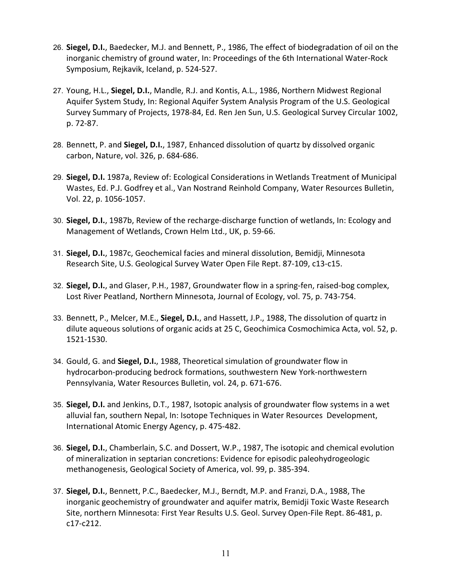- 26. **Siegel, D.I.**, Baedecker, M.J. and Bennett, P., 1986, The effect of biodegradation of oil on the inorganic chemistry of ground water, In: Proceedings of the 6th International Water-Rock Symposium, Rejkavik, Iceland, p. 524-527.
- 27. Young, H.L., **Siegel, D.I.**, Mandle, R.J. and Kontis, A.L., 1986, Northern Midwest Regional Aquifer System Study, In: Regional Aquifer System Analysis Program of the U.S. Geological Survey Summary of Projects, 1978-84, Ed. Ren Jen Sun, U.S. Geological Survey Circular 1002, p. 72-87.
- 28. Bennett, P. and **Siegel, D.I.**, 1987, Enhanced dissolution of quartz by dissolved organic carbon, Nature, vol. 326, p. 684-686.
- 29. **Siegel, D.I.** 1987a, Review of: Ecological Considerations in Wetlands Treatment of Municipal Wastes, Ed. P.J. Godfrey et al., Van Nostrand Reinhold Company, Water Resources Bulletin, Vol. 22, p. 1056-1057.
- 30. **Siegel, D.I.**, 1987b, Review of the recharge-discharge function of wetlands, In: Ecology and Management of Wetlands, Crown Helm Ltd., UK, p. 59-66.
- 31. **Siegel, D.I.**, 1987c, Geochemical facies and mineral dissolution, Bemidji, Minnesota Research Site, U.S. Geological Survey Water Open File Rept. 87-109, c13-c15.
- 32. **Siegel, D.I.**, and Glaser, P.H., 1987, Groundwater flow in a spring-fen, raised-bog complex, Lost River Peatland, Northern Minnesota, Journal of Ecology, vol. 75, p. 743-754.
- 33. Bennett, P., Melcer, M.E., **Siegel, D.I.**, and Hassett, J.P., 1988, The dissolution of quartz in dilute aqueous solutions of organic acids at 25 C, Geochimica Cosmochimica Acta, vol. 52, p. 1521-1530.
- 34. Gould, G. and **Siegel, D.I.**, 1988, Theoretical simulation of groundwater flow in hydrocarbon-producing bedrock formations, southwestern New York-northwestern Pennsylvania, Water Resources Bulletin, vol. 24, p. 671-676.
- 35. **Siegel, D.I.** and Jenkins, D.T., 1987, Isotopic analysis of groundwater flow systems in a wet alluvial fan, southern Nepal, In: Isotope Techniques in Water Resources Development, International Atomic Energy Agency, p. 475-482.
- 36. **Siegel, D.I.**, Chamberlain, S.C. and Dossert, W.P., 1987, The isotopic and chemical evolution of mineralization in septarian concretions: Evidence for episodic paleohydrogeologic methanogenesis, Geological Society of America, vol. 99, p. 385-394.
- 37. **Siegel, D.I.**, Bennett, P.C., Baedecker, M.J., Berndt, M.P. and Franzi, D.A., 1988, The inorganic geochemistry of groundwater and aquifer matrix, Bemidji Toxic Waste Research Site, northern Minnesota: First Year Results U.S. Geol. Survey Open-File Rept. 86-481, p. c17-c212.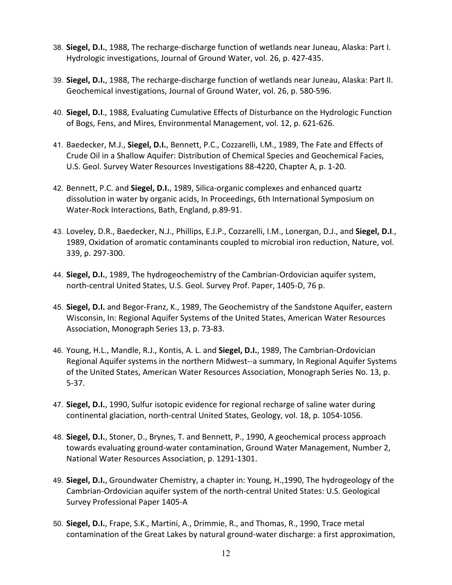- 38. **Siegel, D.I.**, 1988, The recharge-discharge function of wetlands near Juneau, Alaska: Part I. Hydrologic investigations, Journal of Ground Water, vol. 26, p. 427-435.
- 39. **Siegel, D.I.**, 1988, The recharge-discharge function of wetlands near Juneau, Alaska: Part II. Geochemical investigations, Journal of Ground Water, vol. 26, p. 580-596.
- 40. **Siegel, D.I**., 1988, Evaluating Cumulative Effects of Disturbance on the Hydrologic Function of Bogs, Fens, and Mires, Environmental Management, vol. 12, p. 621-626.
- 41. Baedecker, M.J., **Siegel, D.I.**, Bennett, P.C., Cozzarelli, I.M., 1989, The Fate and Effects of Crude Oil in a Shallow Aquifer: Distribution of Chemical Species and Geochemical Facies, U.S. Geol. Survey Water Resources Investigations 88-4220, Chapter A, p. 1-20.
- 42. Bennett, P.C. and **Siegel, D.I.**, 1989, Silica-organic complexes and enhanced quartz dissolution in water by organic acids, In Proceedings, 6th International Symposium on Water-Rock Interactions, Bath, England, p.89-91.
- 43. Loveley, D.R., Baedecker, N.J., Phillips, E.J.P., Cozzarelli, I.M., Lonergan, D.J., and **Siegel, D.I**., 1989, Oxidation of aromatic contaminants coupled to microbial iron reduction, Nature, vol. 339, p. 297-300.
- 44. **Siegel, D.I.**, 1989, The hydrogeochemistry of the Cambrian-Ordovician aquifer system, north-central United States, U.S. Geol. Survey Prof. Paper, 1405-D, 76 p.
- 45. **Siegel, D.I.** and Begor-Franz, K., 1989, The Geochemistry of the Sandstone Aquifer, eastern Wisconsin, In: Regional Aquifer Systems of the United States, American Water Resources Association, Monograph Series 13, p. 73-83.
- 46. Young, H.L., Mandle, R.J., Kontis, A. L. and **Siegel, D.I.**, 1989, The Cambrian-Ordovician Regional Aquifer systems in the northern Midwest--a summary, In Regional Aquifer Systems of the United States, American Water Resources Association, Monograph Series No. 13, p. 5-37.
- 47. **Siegel, D.I.**, 1990, Sulfur isotopic evidence for regional recharge of saline water during continental glaciation, north-central United States, Geology, vol. 18, p. 1054-1056.
- 48. **Siegel, D.I.**, Stoner, D., Brynes, T. and Bennett, P., 1990, A geochemical process approach towards evaluating ground-water contamination, Ground Water Management, Number 2, National Water Resources Association, p. 1291-1301.
- 49. **Siegel, D.I.**, Groundwater Chemistry, a chapter in: Young, H.,1990, The hydrogeology of the Cambrian-Ordovician aquifer system of the north-central United States: U.S. Geological Survey Professional Paper 1405-A
- 50. **Siegel, D.I.**, Frape, S.K., Martini, A., Drimmie, R., and Thomas, R., 1990, Trace metal contamination of the Great Lakes by natural ground-water discharge: a first approximation,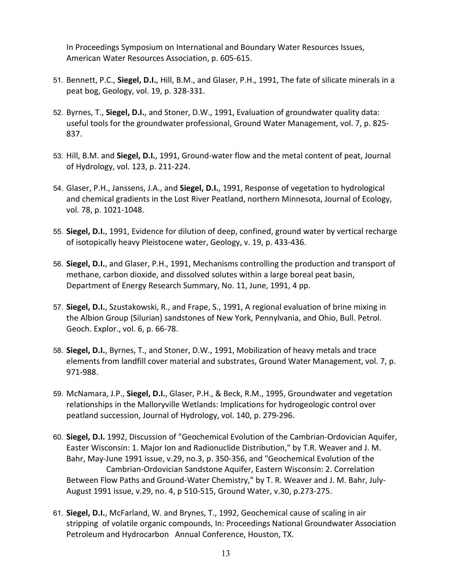In Proceedings Symposium on International and Boundary Water Resources Issues, American Water Resources Association, p. 605-615.

- 51. Bennett, P.C., **Siegel, D.I.**, Hill, B.M., and Glaser, P.H., 1991, The fate of silicate minerals in a peat bog, Geology, vol. 19, p. 328-331.
- 52. Byrnes, T., **Siegel, D.I.**, and Stoner, D.W., 1991, Evaluation of groundwater quality data: useful tools for the groundwater professional, Ground Water Management, vol. 7, p. 825- 837.
- 53. Hill, B.M. and **Siegel, D.I.**, 1991, Ground-water flow and the metal content of peat, Journal of Hydrology, vol. 123, p. 211-224.
- 54. Glaser, P.H., Janssens, J.A., and **Siegel, D.I.**, 1991, Response of vegetation to hydrological and chemical gradients in the Lost River Peatland, northern Minnesota, Journal of Ecology, vol. 78, p. 1021-1048.
- 55. **Siegel, D.I.**, 1991, Evidence for dilution of deep, confined, ground water by vertical recharge of isotopically heavy Pleistocene water, Geology, v. 19, p. 433-436.
- 56. **Siegel, D.I.**, and Glaser, P.H., 1991, Mechanisms controlling the production and transport of methane, carbon dioxide, and dissolved solutes within a large boreal peat basin, Department of Energy Research Summary, No. 11, June, 1991, 4 pp.
- 57. **Siegel, D.I.**, Szustakowski, R., and Frape, S., 1991, A regional evaluation of brine mixing in the Albion Group (Silurian) sandstones of New York, Pennylvania, and Ohio, Bull. Petrol. Geoch. Explor., vol. 6, p. 66-78.
- 58. **Siegel, D.I.**, Byrnes, T., and Stoner, D.W., 1991, Mobilization of heavy metals and trace elements from landfill cover material and substrates, Ground Water Management, vol. 7, p. 971-988.
- 59. McNamara, J.P., **Siegel, D.I.**, Glaser, P.H., & Beck, R.M., 1995, Groundwater and vegetation relationships in the Malloryville Wetlands: Implications for hydrogeologic control over peatland succession, Journal of Hydrology, vol. 140, p. 279-296.
- 60. **Siegel, D.I.** 1992, Discussion of "Geochemical Evolution of the Cambrian-Ordovician Aquifer, Easter Wisconsin: 1. Major Ion and Radionuclide Distribution," by T.R. Weaver and J. M. Bahr, May-June 1991 issue, v.29, no.3, p. 350-356, and "Geochemical Evolution of the Cambrian-Ordovician Sandstone Aquifer, Eastern Wisconsin: 2. Correlation Between Flow Paths and Ground-Water Chemistry," by T. R. Weaver and J. M. Bahr, July-August 1991 issue, v.29, no. 4, p 510-515, Ground Water, v.30, p.273-275.
- 61. **Siegel, D.I.**, McFarland, W. and Brynes, T., 1992, Geochemical cause of scaling in air stripping of volatile organic compounds, In: Proceedings National Groundwater Association Petroleum and Hydrocarbon Annual Conference, Houston, TX.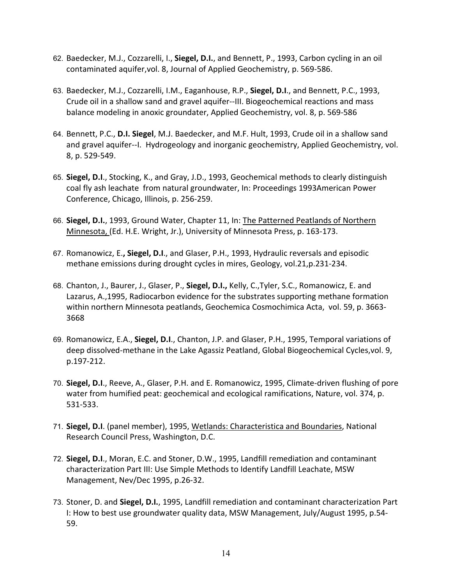- 62. Baedecker, M.J., Cozzarelli, I., **Siegel, D.I.**, and Bennett, P., 1993, Carbon cycling in an oil contaminated aquifer,vol. 8, Journal of Applied Geochemistry, p. 569-586.
- 63. Baedecker, M.J., Cozzarelli, I.M., Eaganhouse, R.P., **Siegel, D.I**., and Bennett, P.C., 1993, Crude oil in a shallow sand and gravel aquifer--III. Biogeochemical reactions and mass balance modeling in anoxic groundater, Applied Geochemistry, vol. 8, p. 569-586
- 64. Bennett, P.C., **D.I. Siegel**, M.J. Baedecker, and M.F. Hult, 1993, Crude oil in a shallow sand and gravel aquifer--I. Hydrogeology and inorganic geochemistry, Applied Geochemistry, vol. 8, p. 529-549.
- 65. **Siegel, D.I**., Stocking, K., and Gray, J.D., 1993, Geochemical methods to clearly distinguish coal fly ash leachate from natural groundwater, In: Proceedings 1993American Power Conference, Chicago, Illinois, p. 256-259.
- 66. **Siegel, D.I.**, 1993, Ground Water, Chapter 11, In: The Patterned Peatlands of Northern Minnesota, (Ed. H.E. Wright, Jr.), University of Minnesota Press, p. 163-173.
- 67. Romanowicz, E.**, Siegel, D.I**., and Glaser, P.H., 1993, Hydraulic reversals and episodic methane emissions during drought cycles in mires, Geology, vol.21,p.231-234.
- 68. Chanton, J., Baurer, J., Glaser, P., **Siegel, D.I.,** Kelly, C.,Tyler, S.C., Romanowicz, E. and Lazarus, A.,1995, Radiocarbon evidence for the substrates supporting methane formation within northern Minnesota peatlands, Geochemica Cosmochimica Acta, vol. 59, p. 3663- 3668
- 69. Romanowicz, E.A., **Siegel, D.I**., Chanton, J.P. and Glaser, P.H., 1995, Temporal variations of deep dissolved-methane in the Lake Agassiz Peatland, Global Biogeochemical Cycles,vol. 9, p.197-212.
- 70. **Siegel, D.I**., Reeve, A., Glaser, P.H. and E. Romanowicz, 1995, Climate-driven flushing of pore water from humified peat: geochemical and ecological ramifications, Nature, vol. 374, p. 531-533.
- 71. **Siegel, D.I**. (panel member), 1995, Wetlands: Characteristica and Boundaries, National Research Council Press, Washington, D.C.
- 72. **Siegel, D.I**., Moran, E.C. and Stoner, D.W., 1995, Landfill remediation and contaminant characterization Part III: Use Simple Methods to Identify Landfill Leachate, MSW Management, Nev/Dec 1995, p.26-32.
- 73. Stoner, D. and **Siegel, D.I.**, 1995, Landfill remediation and contaminant characterization Part I: How to best use groundwater quality data, MSW Management, July/August 1995, p.54- 59.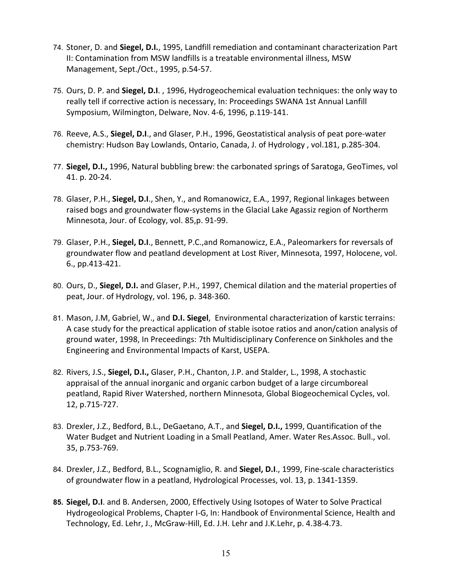- 74. Stoner, D. and **Siegel, D.I.**, 1995, Landfill remediation and contaminant characterization Part II: Contamination from MSW landfills is a treatable environmental illness, MSW Management, Sept./Oct., 1995, p.54-57.
- 75. Ours, D. P. and **Siegel, D.I**. , 1996, Hydrogeochemical evaluation techniques: the only way to really tell if corrective action is necessary, In: Proceedings SWANA 1st Annual Lanfill Symposium, Wilmington, Delware, Nov. 4-6, 1996, p.119-141.
- 76. Reeve, A.S., **Siegel, D.I**., and Glaser, P.H., 1996, Geostatistical analysis of peat pore-water chemistry: Hudson Bay Lowlands, Ontario, Canada, J. of Hydrology , vol.181, p.285-304.
- 77. **Siegel, D.I.,** 1996, Natural bubbling brew: the carbonated springs of Saratoga, GeoTimes, vol 41. p. 20-24.
- 78. Glaser, P.H., **Siegel, D.I**., Shen, Y., and Romanowicz, E.A., 1997, Regional linkages between raised bogs and groundwater flow-systems in the Glacial Lake Agassiz region of Northerm Minnesota, Jour. of Ecology, vol. 85,p. 91-99.
- 79. Glaser, P.H., **Siegel, D.I**., Bennett, P.C.,and Romanowicz, E.A., Paleomarkers for reversals of groundwater flow and peatland development at Lost River, Minnesota, 1997, Holocene, vol. 6., pp.413-421.
- 80. Ours, D., **Siegel, D.I.** and Glaser, P.H., 1997, Chemical dilation and the material properties of peat, Jour. of Hydrology, vol. 196, p. 348-360.
- 81. Mason, J.M, Gabriel, W., and **D.I. Siegel**, Environmental characterization of karstic terrains: A case study for the preactical application of stable isotoe ratios and anon/cation analysis of ground water, 1998, In Preceedings: 7th Multidisciplinary Conference on Sinkholes and the Engineering and Environmental Impacts of Karst, USEPA.
- 82. Rivers, J.S., **Siegel, D.I.,** Glaser, P.H., Chanton, J.P. and Stalder, L., 1998, A stochastic appraisal of the annual inorganic and organic carbon budget of a large circumboreal peatland, Rapid River Watershed, northern Minnesota, Global Biogeochemical Cycles, vol. 12, p.715-727.
- 83. Drexler, J.Z., Bedford, B.L., DeGaetano, A.T., and **Siegel, D.I.,** 1999, Quantification of the Water Budget and Nutrient Loading in a Small Peatland, Amer. Water Res.Assoc. Bull., vol. 35, p.753-769.
- 84. Drexler, J.Z., Bedford, B.L., Scognamiglio, R. and **Siegel, D.I**., 1999, Fine-scale characteristics of groundwater flow in a peatland, Hydrological Processes, vol. 13, p. 1341-1359.
- **85. Siegel, D.I**. and B. Andersen, 2000, Effectively Using Isotopes of Water to Solve Practical Hydrogeological Problems, Chapter I-G, In: Handbook of Environmental Science, Health and Technology, Ed. Lehr, J., McGraw-Hill, Ed. J.H. Lehr and J.K.Lehr, p. 4.38-4.73.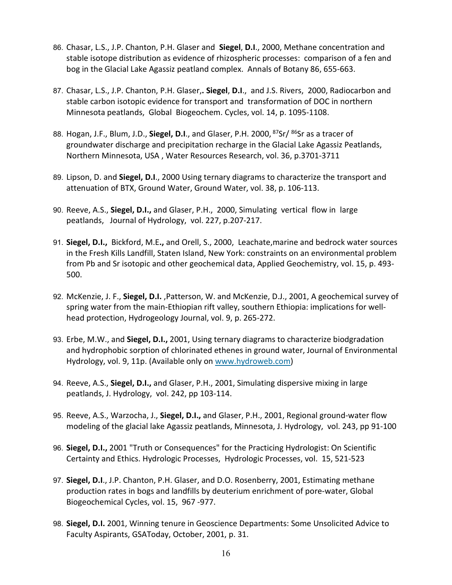- 86. Chasar, L.S., J.P. Chanton, P.H. Glaser and **Siegel**, **D.I**., 2000, Methane concentration and stable isotope distribution as evidence of rhizospheric processes: comparison of a fen and bog in the Glacial Lake Agassiz peatland complex. Annals of Botany 86, 655-663.
- 87. Chasar, L.S., J.P. Chanton, P.H. Glaser,**. Siegel**, **D.I**., and J.S. Rivers, 2000, Radiocarbon and stable carbon isotopic evidence for transport and transformation of DOC in northern Minnesota peatlands, Global Biogeochem. Cycles, vol. 14, p. 1095-1108.
- 88. Hogan, J.F., Blum, J.D., Siegel, D.I., and Glaser, P.H. 2000, <sup>87</sup>Sr/ <sup>86</sup>Sr as a tracer of groundwater discharge and precipitation recharge in the Glacial Lake Agassiz Peatlands, Northern Minnesota, USA , Water Resources Research, vol. 36, p.3701-3711
- 89. Lipson, D. and **Siegel, D.I**., 2000 Using ternary diagrams to characterize the transport and attenuation of BTX, Ground Water, Ground Water, vol. 38, p. 106-113.
- 90. Reeve, A.S., **Siegel, D.I.,** and Glaser, P.H., 2000, Simulating vertical flow in large peatlands, Journal of Hydrology, vol. 227, p.207-217.
- 91. **Siegel, D.I.,** Bickford, M.E**.,** and Orell, S., 2000, Leachate,marine and bedrock water sources in the Fresh Kills Landfill, Staten Island, New York: constraints on an environmental problem from Pb and Sr isotopic and other geochemical data, Applied Geochemistry, vol. 15, p. 493- 500.
- 92. McKenzie, J. F., **Siegel, D.I.** ,Patterson, W. and McKenzie, D.J., 2001, A geochemical survey of spring water from the main-Ethiopian rift valley, southern Ethiopia: implications for wellhead protection, Hydrogeology Journal, vol. 9, p. 265-272.
- 93. Erbe, M.W., and **Siegel, D.I.,** 2001, Using ternary diagrams to characterize biodgradation and hydrophobic sorption of chlorinated ethenes in ground water, Journal of Environmental Hydrology, vol. 9, 11p. (Available only on [www.hydroweb.com\)](http://www.hydroweb.com/)
- 94. Reeve, A.S., **Siegel, D.I.,** and Glaser, P.H., 2001, Simulating dispersive mixing in large peatlands, J. Hydrology, vol. 242, pp 103-114.
- 95. Reeve, A.S., Warzocha, J., **Siegel, D.I.,** and Glaser, P.H., 2001, Regional ground-water flow modeling of the glacial lake Agassiz peatlands, Minnesota, J. Hydrology, vol. 243, pp 91-100
- 96. **Siegel, D.I.,** 2001 "Truth or Consequences" for the Practicing Hydrologist: On Scientific Certainty and Ethics. Hydrologic Processes, Hydrologic Processes, vol. 15, 521-523
- 97. **Siegel, D.I**., J.P. Chanton, P.H. Glaser, and D.O. Rosenberry, 2001, Estimating methane production rates in bogs and landfills by deuterium enrichment of pore-water, Global Biogeochemical Cycles, vol. 15, 967 -977.
- 98. **Siegel, D.I.** 2001, Winning tenure in Geoscience Departments: Some Unsolicited Advice to Faculty Aspirants, GSAToday, October, 2001, p. 31.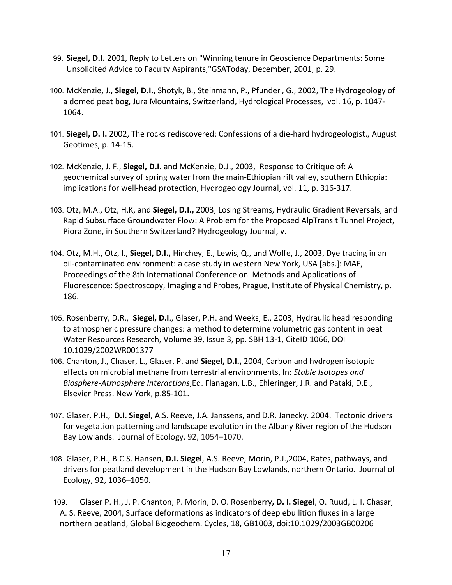- 99. **Siegel, D.I.** 2001, Reply to Letters on "Winning tenure in Geoscience Departments: Some Unsolicited Advice to Faculty Aspirants,"GSAToday, December, 2001, p. 29.
- 100. McKenzie, J., Siegel, D.I., Shotyk, B., Steinmann, P., Pfunder<sup>,</sup>, G., 2002, The Hydrogeology of a domed peat bog, Jura Mountains, Switzerland, Hydrological Processes, vol. 16, p. 1047- 1064.
- 101. **Siegel, D. I.** 2002, The rocks rediscovered: Confessions of a die-hard hydrogeologist., August Geotimes, p. 14-15.
- 102. McKenzie, J. F., **Siegel, D.I**. and McKenzie, D.J., 2003, Response to Critique of: A geochemical survey of spring water from the main-Ethiopian rift valley, southern Ethiopia: implications for well-head protection, Hydrogeology Journal, vol. 11, p. 316-317.
- 103. Otz, M.A., Otz, H.K, and **Siegel, D.I.,** 2003, Losing Streams, Hydraulic Gradient Reversals, and Rapid Subsurface Groundwater Flow: A Problem for the Proposed AlpTransit Tunnel Project, Piora Zone, in Southern Switzerland? Hydrogeology Journal, v.
- 104. Otz, M.H., Otz, I., **Siegel, D.I.,** Hinchey, E., Lewis, Q., and Wolfe, J., 2003, Dye tracing in an oil-contaminated environment: a case study in western New York, USA [abs.]: MAF, Proceedings of the 8th International Conference on Methods and Applications of Fluorescence: Spectroscopy, Imaging and Probes, Prague, Institute of Physical Chemistry, p. 186.
- 105. Rosenberry, D.R., **Siegel, D.I**., Glaser, P.H. and Weeks, E., 2003, Hydraulic head responding to atmospheric pressure changes: a method to determine volumetric gas content in peat Water Resources Research, Volume 39, Issue 3, pp. SBH 13-1, CiteID 1066, DOI 10.1029/2002WR001377
- 106. Chanton, J., Chaser, L., Glaser, P. and **Siegel, D.I.,** 2004, Carbon and hydrogen isotopic effects on microbial methane from terrestrial environments, In: *Stable Isotopes and Biosphere-Atmosphere Interactions*,Ed. Flanagan, L.B., Ehleringer, J.R. and Pataki, D.E., Elsevier Press. New York, p.85-101.
- 107. Glaser, P.H., **D.I. Siegel**, A.S. Reeve, J.A. Janssens, and D.R. Janecky. 2004. Tectonic drivers for vegetation patterning and landscape evolution in the Albany River region of the Hudson Bay Lowlands. Journal of Ecology, 92, 1054–1070.
- 108. Glaser, P.H., B.C.S. Hansen, **D.I. Siegel**, A.S. Reeve, Morin, P.J.,2004, Rates, pathways, and drivers for peatland development in the Hudson Bay Lowlands, northern Ontario. Journal of Ecology, 92, 1036–1050.
- 109. Glaser P. H., J. P. Chanton, P. Morin, D. O. Rosenberry**, D. I. Siegel**, O. Ruud, L. I. Chasar, A. S. Reeve, 2004, Surface deformations as indicators of deep ebullition fluxes in a large northern peatland, Global Biogeochem. Cycles, 18, GB1003, doi:10.1029/2003GB00206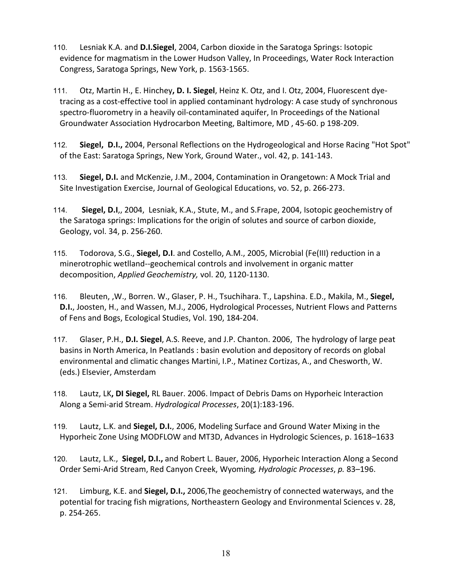- 110. Lesniak K.A. and **D.I.Siegel**, 2004, Carbon dioxide in the Saratoga Springs: Isotopic evidence for magmatism in the Lower Hudson Valley, In Proceedings, Water Rock Interaction Congress, Saratoga Springs, New York, p. 1563-1565.
- 111. Otz, Martin H., E. Hinchey**, D. I. Siegel**, Heinz K. Otz, and I. Otz, 2004, Fluorescent dyetracing as a cost-effective tool in applied contaminant hydrology: A case study of synchronous spectro-fluorometry in a heavily oil-contaminated aquifer, In Proceedings of the National Groundwater Association Hydrocarbon Meeting, Baltimore, MD , 45-60. p 198-209.
- 112. **Siegel, D.I.,** 2004, Personal Reflections on the Hydrogeological and Horse Racing "Hot Spot" of the East: Saratoga Springs, New York, Ground Water., vol. 42, p. 141-143.
- 113. **Siegel, D.I.** and McKenzie, J.M., 2004, Contamination in Orangetown: A Mock Trial and Site Investigation Exercise, Journal of Geological Educations, vo. 52, p. 266-273.
- 114. **Siegel, D.I**,, 2004, Lesniak, K.A., Stute, M., and S.Frape, 2004, Isotopic geochemistry of the Saratoga springs: Implications for the origin of solutes and source of carbon dioxide, Geology, vol. 34, p. 256-260.
- 115. Todorova, S.G., **Siegel, D.I**. and Costello, A.M., 2005, Microbial (Fe(III) reduction in a minerotrophic wetlland--geochemical controls and involvement in organic matter decomposition, *Applied Geochemistry,* vol. 20, 1120-1130.
- 116. Bleuten, ,W., Borren. W., Glaser, P. H., Tsuchihara. T., Lapshina. E.D., Makila, M., **Siegel, D.I.**, Joosten, H., and Wassen, M.J., 2006, Hydrological Processes, Nutrient Flows and Patterns of Fens and Bogs, Ecological Studies, Vol. 190, 184-204.
- 117. Glaser, P.H., **D.I. Siegel**, A.S. Reeve, and J.P. Chanton. 2006, The hydrology of large peat basins in North America, In Peatlands : basin evolution and depository of records on global environmental and climatic changes Martini, I.P., Matinez Cortizas, A., and Chesworth, W. (eds.) Elsevier, Amsterdam
- 118. Lautz, LK**, DI Siegel,** RL Bauer. 2006. Impact of Debris Dams on Hyporheic Interaction Along a Semi-arid Stream. *Hydrological Processes*, 20(1):183-196.
- 119. Lautz, L.K. and **Siegel, D.I.**, 2006, Modeling Surface and Ground Water Mixing in the Hyporheic Zone Using MODFLOW and MT3D, Advances in Hydrologic Sciences, p. 1618–1633
- 120. Lautz, L.K., **Siegel, D.I.,** and Robert L. Bauer, 2006, Hyporheic Interaction Along a Second Order Semi-Arid Stream, Red Canyon Creek, Wyoming*, Hydrologic Processes*, *p.* 83–196.
- 121. Limburg, K.E. and **Siegel, D.I.,** 2006,The geochemistry of connected waterways, and the potential for tracing fish migrations, Northeastern Geology and Environmental Sciences v. 28, p. 254-265.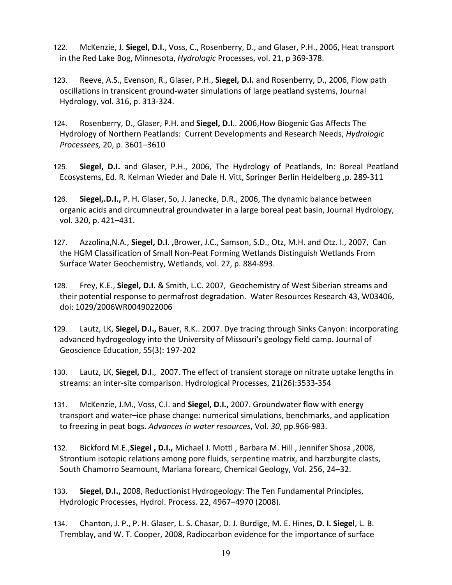- 122. McKenzie, J. **Siegel, D.I.**, Voss, C., Rosenberry, D., and Glaser, P.H., 2006, Heat transport in the Red Lake Bog, Minnesota, *Hydrologic* Processes, vol. 21, p 369-378.
- 123. Reeve, A.S., Evenson, R., Glaser, P.H., **Siegel, D.I.** and Rosenberry, D., 2006, Flow path oscillations in transicent ground-water simulations of large peatland systems, Journal Hydrology, vol. 316, p. 313-324.
- 124. Rosenberry, D., Glaser, P.H. and **Siegel, D.I**.. 2006,How Biogenic Gas Affects The Hydrology of Northern Peatlands: Current Developments and Research Needs, *Hydrologic Processees,* 20, p. 3601–3610
- 125. **Siegel, D.I.** and Glaser, P.H., 2006, The Hydrology of Peatlands, In: Boreal Peatland Ecosystems, Ed. R. Kelman Wieder and Dale H. Vitt, Springer Berlin Heidelberg ,p. 289-311
- 126. **Siegel,.D.I.,** P. H. Glaser, So, J. Janecke, D.R., 2006, The dynamic balance between organic acids and circumneutral groundwater in a large boreal peat basin, Journal Hydrology, vol. 320, p. 421–431.
- 127. Azzolina,N.A., **Siegel, D.I**. **,**Brower, J.C., Samson, S.D., Otz, M.H. and Otz. I., 2007, Can the HGM Classification of Small Non-Peat Forming Wetlands Distinguish Wetlands From Surface Water Geochemistry, Wetlands, vol. 27, p. 884-893.
- 128. Frey, K.E., **Siegel, D.I.** & Smith, L.C. 2007, Geochemistry of West Siberian streams and their potential response to permafrost degradation. Water Resources Research 43, W03406, doi: 1029/2006WR0049022006
- 129. Lautz, LK, **Siegel, D.I.,** Bauer, R.K.. 2007. Dye tracing through Sinks Canyon: incorporating advanced hydrogeology into the University of Missouri's geology field camp. Journal of Geoscience Education, 55(3): 197-202
- 130. Lautz, LK, **Siegel, D.I**., 2007. The effect of transient storage on nitrate uptake lengths in streams: an inter-site comparison. Hydrological Processes, 21(26):3533-354
- 131. McKenzie, J.M., Voss, C.I. and **Siegel, D.I.,** 2007. Groundwater flow with energy transport and water–ice phase change: numerical simulations, benchmarks, and application to freezing in peat bogs. *Advances in water resources*, Vol. *30*, pp.966-983.
- 132. Bickford M.E.,**Siegel , D.I.,** Michael J. Mottl , Barbara M. Hill , Jennifer Shosa ,2008, Strontium isotopic relations among pore fluids, serpentine matrix, and harzburgite clasts, South Chamorro Seamount, Mariana forearc, Chemical Geology, Vol. 256, 24–32.
- 133. **Siegel, D.I.,** 2008, Reductionist Hydrogeology: The Ten Fundamental Principles, Hydrologic Processes, Hydrol. Process. 22, 4967–4970 (2008).
- 134. Chanton, J. P., P. H. Glaser, L. S. Chasar, D. J. Burdige, M. E. Hines, **D. I. Siegel**, L. B. Tremblay, and W. T. Cooper, 2008, Radiocarbon evidence for the importance of surface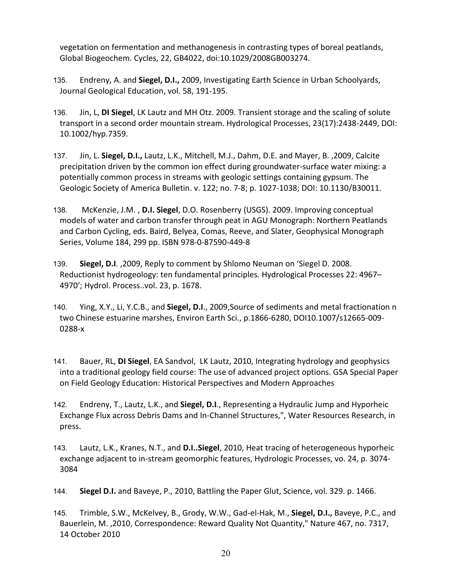vegetation on fermentation and methanogenesis in contrasting types of boreal peatlands, Global Biogeochem. Cycles, 22, GB4022, doi:10.1029/2008GB003274.

- 135. Endreny, A. and **Siegel, D.I.,** 2009, Investigating Earth Science in Urban Schoolyards, Journal Geological Education, vol. 58, 191-195.
- 136. Jin, L, **DI Siegel**, LK Lautz and MH Otz. 2009. Transient storage and the scaling of solute transport in a second order mountain stream. Hydrological Processes, 23(17):2438-2449, DOI: 10.1002/hyp.7359.
- 137. Jin, L. **Siegel, D.I.,** Lautz, L.K., Mitchell, M.J., Dahm, D.E. and Mayer, B. ,2009, Calcite precipitation driven by the common ion effect during groundwater-surface water mixing: a potentially common process in streams with geologic settings containing gypsum. The Geologic Society of America Bulletin. v. 122; no. 7-8; p. 1027-1038; DOI: 10.1130/B30011.
- 138. [M](http://www3.interscience.wiley.com/journal/122459220/abstract)cKenzie, J.M. , **D.I. Siegel**, D.O. Rosenberry (USGS). 2009. Improving conceptual models of water and carbon transfer through peat in AGU Monograph: Northern Peatlands and Carbon Cycling, eds. Baird, Belyea, Comas, Reeve, and Slater, Geophysical Monograph Series, Volume 184, 299 pp. [ISBN 978-0-87590-449-8](http://65.216.151.13/cgi-bin/agubooks?book=ASGM1844498)
- 139. **Siegel, D.I**. ,2009, Reply to comment by Shlomo Neuman on 'Siegel D. 2008. Reductionist hydrogeology: ten fundamental principles. Hydrological Processes 22: 4967– 4970'; Hydrol. Process..vol. 23, p. 1678.
- 140. Ying, X.Y., Li, Y.C.B., and **Siegel, D.I**., 2009,Source of sediments and metal fractionation n two Chinese estuarine marshes, Environ Earth Sci., p.1866-6280, DOI10.1007/s12665-009- 0288-x
- 141. Bauer, RL, **DI Siegel**, EA Sandvol, LK Lautz, 2010, Integrating hydrology and geophysics into a traditional geology field course: The use of advanced project options. GSA Special Paper on Field Geology Education: Historical Perspectives and Modern Approaches
- 142. Endreny, T., Lautz, L.K., and **Siegel, D.I**., Representing a Hydraulic Jump and Hyporheic Exchange Flux across Debris Dams and In-Channel Structures,", Water Resources Research, in press.
- 143. Lautz, L.K., Kranes, N.T., and **D.I..Siegel**, 2010, Heat tracing of heterogeneous hyporheic exchange adjacent to in-stream geomorphic features, Hydrologic Processes, vo. 24, p. 3074- 3084
- 144. **Siegel D.I.** and Baveye, P., 2010, Battling the Paper Glut, Science, vol. 329. p. 1466.
- 145. Trimble, S.W., McKelvey, B., Grody, W.W., Gad-el-Hak, M., **Siegel, D.I.,** Baveye, P.C., and Bauerlein, M. ,2010, Correspondence: Reward Quality Not Quantity," Nature 467, no. 7317, 14 October 2010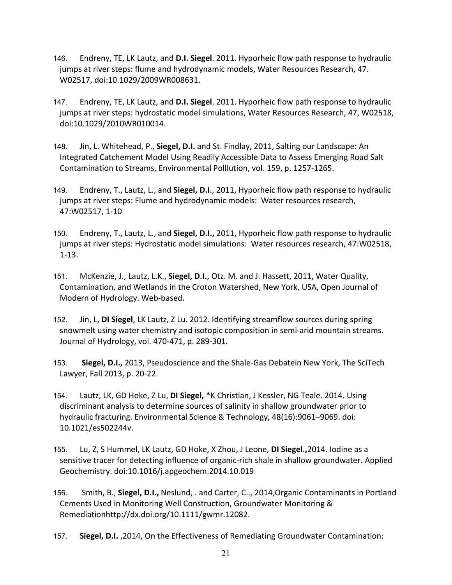- 146. Endreny, TE, LK Lautz, and **D.I. Siegel**. 2011. Hyporheic flow path response to hydraulic jumps at river steps: flume and hydrodynamic models, Water Resources Research, 47. W02517, doi:10.1029/2009WR008631.
- 147. Endreny, TE, LK Lautz, and **D.I. Siegel**. 2011. Hyporheic flow path response to hydraulic jumps at river steps: hydrostatic model simulations, Water Resources Research, 47, W02518, doi:10.1029/2010WR010014.
- 148. Jin, L. Whitehead, P., **Siegel, D.I.** and St. Findlay, 2011, Salting our Landscape: An Integrated Catchement Model Using Readily Accessible Data to Assess Emerging Road Salt Contamination to Streams, Environmental Polllution, vol. 159, p. 1257-1265.
- 149. Endreny, T., Lautz, L., and **Siegel, D.I**., 2011, Hyporheic flow path response to hydraulic jumps at river steps: Flume and hydrodynamic models: Water resources research, 47:W02517, 1-10
- 150. Endreny, T., Lautz, L., and **Siegel, D.I.,** 2011, Hyporheic flow path response to hydraulic jumps at river steps: Hydrostatic model simulations: Water resources research, 47:W02518, 1-13.
- 151. McKenzie, J., Lautz, L.K., **Siegel, D.I.**, Otz. M. and J. Hassett, 2011, Water Quality, Contamination, and Wetlands in the Croton Watershed, New York, USA, Open Journal of Modern of Hydrology. Web-based.
- 152. Jin, L, **DI Siegel**, LK Lautz, Z Lu. 2012. Identifying streamflow sources during spring snowmelt using water chemistry and isotopic composition in semi-arid mountain streams. Journal of Hydrology, vol. 470-471, p. 289-301.
- 153. **Siegel, D.I.,** 2013, Pseudoscience and the Shale-Gas Debatein New York, The SciTech Lawyer, Fall 2013, p. 20-22.
- 154. Lautz, LK, GD Hoke, Z Lu, **DI Siegel,** \*K Christian, J Kessler, NG Teale. 2014. Using discriminant analysis to determine sources of salinity in shallow groundwater prior to hydraulic fracturing. Environmental Science & Technology, 48(16):9061–9069. doi: 10.1021/es502244v.
- 155. Lu, Z, S Hummel, LK Lautz, GD Hoke, X Zhou, J Leone, **DI Siegel.,**2014. Iodine as a sensitive tracer for detecting influence of organic-rich shale in shallow groundwater. Applied Geochemistry. doi:10.1016/j.apgeochem.2014.10.019
- 156. Smith, B., **Siegel, D.I.,** Neslund, . and Carter, C.., 2014,Organic Contaminants in Portland Cements Used in Monitoring Well Construction, Groundwater Monitoring & Remediationhttp://dx.doi.org/10.1111/gwmr.12082.
- 157. **Siegel, D.I.** ,2014, On the Effectiveness of Remediating Groundwater Contamination: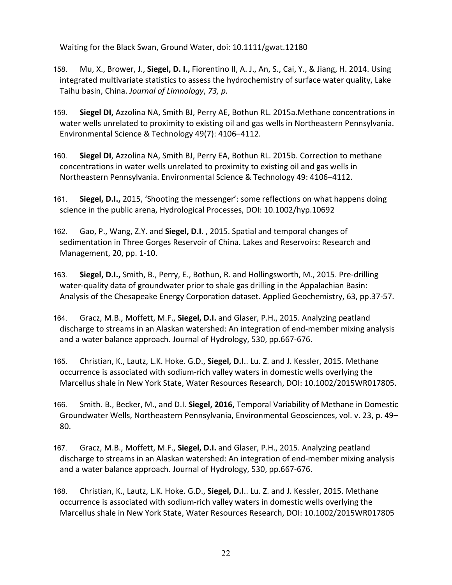Waiting for the Black Swan, Ground Water, doi: 10.1111/gwat.12180

- 158. Mu, X., Brower, J., **Siegel, D. I.,** Fiorentino II, A. J., An, S., Cai, Y., & Jiang, H. 2014. Using integrated multivariate statistics to assess the hydrochemistry of surface water quality, Lake Taihu basin, China. *Journal of Limnology*, *73, p.*
- 159. **Siegel DI,** Azzolina NA, Smith BJ, Perry AE, Bothun RL. 2015a.Methane concentrations in water wells unrelated to proximity to existing oil and gas wells in Northeastern Pennsylvania. Environmental Science & Technology 49(7): 4106–4112.
- 160. **Siegel DI**, Azzolina NA, Smith BJ, Perry EA, Bothun RL. 2015b. Correction to methane concentrations in water wells unrelated to proximity to existing oil and gas wells in Northeastern Pennsylvania. Environmental Science & Technology 49: 4106–4112.
- 161. **Siegel, D.I.,** 2015, 'Shooting the messenger': some reflections on what happens doing science in the public arena, Hydrological Processes, DOI: 10.1002/hyp.10692
- 162. Gao, P., Wang, Z.Y. and **Siegel, D.I**. , 2015. Spatial and temporal changes of sedimentation in Three Gorges Reservoir of China. Lakes and Reservoirs: Research and Management, 20, pp. 1-10.
- 163. **Siegel, D.I.,** Smith, B., Perry, E., Bothun, R. and Hollingsworth, M., 2015. Pre-drilling water-quality data of groundwater prior to shale gas drilling in the Appalachian Basin: Analysis of the Chesapeake Energy Corporation dataset. Applied Geochemistry, 63, pp.37-57.
- 164. Gracz, M.B., Moffett, M.F., **Siegel, D.I.** and Glaser, P.H., 2015. Analyzing peatland discharge to streams in an Alaskan watershed: An integration of end-member mixing analysis and a water balance approach. Journal of Hydrology, 530, pp.667-676.
- 165. Christian, K., Lautz, L.K. Hoke. G.D., **Siegel, D.I**.. Lu. Z. and J. Kessler, 2015. Methane occurrence is associated with sodium-rich valley waters in domestic wells overlying the Marcellus shale in New York State, Water Resources Research, DOI: 10.1002/2015WR017805.
- 166. Smith. B., Becker, M., and D.I. **Siegel, 2016,** Temporal Variability of Methane in Domestic Groundwater Wells, Northeastern Pennsylvania, Environmental Geosciences, vol. v. 23, p. 49– 80.
- 167. Gracz, M.B., Moffett, M.F., **Siegel, D.I.** and Glaser, P.H., 2015. Analyzing peatland discharge to streams in an Alaskan watershed: An integration of end-member mixing analysis and a water balance approach. Journal of Hydrology, 530, pp.667-676.
- 168. Christian, K., Lautz, L.K. Hoke. G.D., **Siegel, D.I**.. Lu. Z. and J. Kessler, 2015. Methane occurrence is associated with sodium-rich valley waters in domestic wells overlying the Marcellus shale in New York State, Water Resources Research, DOI: 10.1002/2015WR017805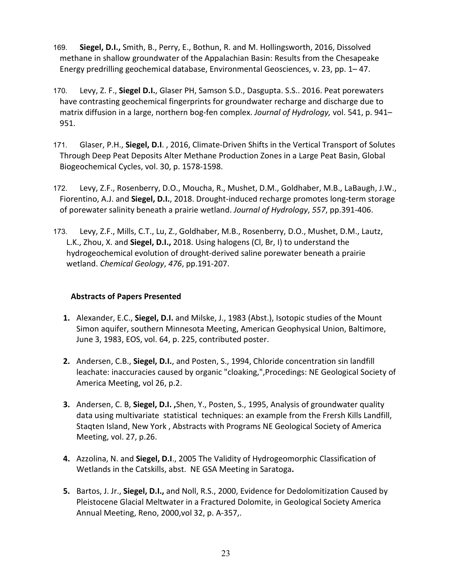- 169. **Siegel, D.I.,** Smith, B., Perry, E., Bothun, R. and M. Hollingsworth, 2016, Dissolved methane in shallow groundwater of the Appalachian Basin: Results from the Chesapeake Energy predrilling geochemical database, Environmental Geosciences, v. 23, pp. 1– 47.
- 170. Levy, Z. F., **Siegel D.I.**, Glaser PH, Samson S.D., Dasgupta. S.S.. 2016. Peat porewaters have contrasting geochemical fingerprints for groundwater recharge and discharge due to matrix diffusion in a large, northern bog-fen complex. *Journal of Hydrology,* vol. 541, p. 941– 951.
- 171. Glaser, P.H., **Siegel, D.I**. , 2016, Climate-Driven Shifts in the Vertical Transport of Solutes Through Deep Peat Deposits Alter Methane Production Zones in a Large Peat Basin, Global Biogeochemical Cycles, vol. 30, p. 1578-1598.
- 172. Levy, Z.F., Rosenberry, D.O., Moucha, R., Mushet, D.M., Goldhaber, M.B., LaBaugh, J.W., Fiorentino, A.J. and **Siegel, D.I.**, 2018. Drought-induced recharge promotes long-term storage of porewater salinity beneath a prairie wetland. *Journal of Hydrology*, *557*, pp.391-406.
- 173. Levy, Z.F., Mills, C.T., Lu, Z., Goldhaber, M.B., Rosenberry, D.O., Mushet, D.M., Lautz, L.K., Zhou, X. and **Siegel, D.I.,** 2018. Using halogens (Cl, Br, I) to understand the hydrogeochemical evolution of drought-derived saline porewater beneath a prairie wetland. *Chemical Geology*, *476*, pp.191-207.

# **Abstracts of Papers Presented**

- **1.** Alexander, E.C., **Siegel, D.I.** and Milske, J., 1983 (Abst.), Isotopic studies of the Mount Simon aquifer, southern Minnesota Meeting, American Geophysical Union, Baltimore, June 3, 1983, EOS, vol. 64, p. 225, contributed poster.
- **2.** Andersen, C.B., **Siegel, D.I.**, and Posten, S., 1994, Chloride concentration sin landfill leachate: inaccuracies caused by organic "cloaking,",Procedings: NE Geological Society of America Meeting, vol 26, p.2.
- **3.** Andersen, C. B, **Siegel, D.I. ,**Shen, Y., Posten, S., 1995, Analysis of groundwater quality data using multivariate statistical techniques: an example from the Frersh Kills Landfill, Staqten Island, New York , Abstracts with Programs NE Geological Society of America Meeting, vol. 27, p.26.
- **4.** Azzolina, N. and **Siegel, D.I**., 2005 The Validity of Hydrogeomorphic Classification of Wetlands in the Catskills, abst. NE GSA Meeting in Saratoga**.**
- **5.** Bartos, J. Jr., **Siegel, D.I.,** and Noll, R.S., 2000, Evidence for Dedolomitization Caused by Pleistocene Glacial Meltwater in a Fractured Dolomite, in Geological Society America Annual Meeting, Reno, 2000,vol 32, p. A-357,.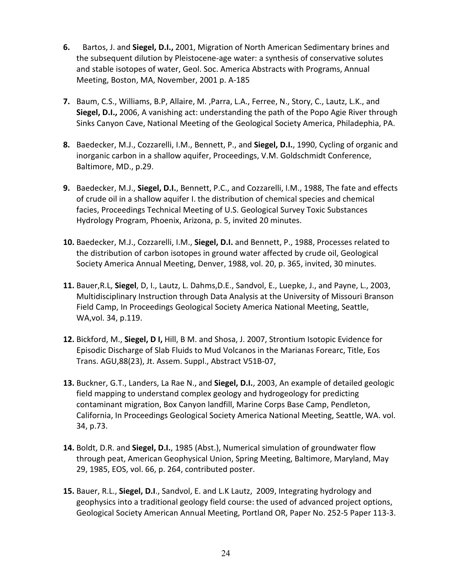- **6.** Bartos, J. and **Siegel, D.I.,** 2001, Migration of North American Sedimentary brines and the subsequent dilution by Pleistocene-age water: a synthesis of conservative solutes and stable isotopes of water, Geol. Soc. America Abstracts with Programs, Annual Meeting, Boston, MA, November, 2001 p. A-185
- **7.** Baum, C.S., Williams, B.P, Allaire, M. ,Parra, L.A., Ferree, N., Story, C., Lautz, L.K., and **Siegel, D.I.,** 2006, A vanishing act: understanding the path of the Popo Agie River through Sinks Canyon Cave, National Meeting of the Geological Society America, Philadephia, PA.
- **8.** Baedecker, M.J., Cozzarelli, I.M., Bennett, P., and **Siegel, D.I.**, 1990, Cycling of organic and inorganic carbon in a shallow aquifer, Proceedings, V.M. Goldschmidt Conference, Baltimore, MD., p.29.
- **9.** Baedecker, M.J., **Siegel, D.I.**, Bennett, P.C., and Cozzarelli, I.M., 1988, The fate and effects of crude oil in a shallow aquifer I. the distribution of chemical species and chemical facies, Proceedings Technical Meeting of U.S. Geological Survey Toxic Substances Hydrology Program, Phoenix, Arizona, p. 5, invited 20 minutes.
- **10.** Baedecker, M.J., Cozzarelli, I.M., **Siegel, D.I.** and Bennett, P., 1988, Processes related to the distribution of carbon isotopes in ground water affected by crude oil, Geological Society America Annual Meeting, Denver, 1988, vol. 20, p. 365, invited, 30 minutes.
- **11.** Bauer,R.L, **Siegel**, D, I., Lautz, L. Dahms,D.E., Sandvol, E., Luepke, J., and Payne, L., 2003, Multidisciplinary Instruction through Data Analysis at the University of Missouri Branson Field Camp, In Proceedings Geological Society America National Meeting, Seattle, WA,vol. 34, p.119.
- **12.** Bickford, M., **Siegel, D I,** Hill, B M. and Shosa, J. 2007, Strontium Isotopic Evidence for Episodic Discharge of Slab Fluids to Mud Volcanos in the Marianas Forearc, Title, Eos Trans. AGU,88(23), Jt. Assem. Suppl., Abstract V51B-07,
- **13.** Buckner, G.T., Landers, La Rae N., and **Siegel, D.I.**, 2003, An example of detailed geologic field mapping to understand complex geology and hydrogeology for predicting contaminant migration, Box Canyon landfill, Marine Corps Base Camp, Pendleton, California, In Proceedings Geological Society America National Meeting, Seattle, WA. vol. 34, p.73.
- **14.** Boldt, D.R. and **Siegel, D.I.**, 1985 (Abst.), Numerical simulation of groundwater flow through peat, American Geophysical Union, Spring Meeting, Baltimore, Maryland, May 29, 1985, EOS, vol. 66, p. 264, contributed poster.
- **15.** Bauer, R.L., **Siegel, D.I**., Sandvol, E. and L.K Lautz, 2009, Integrating hydrology and geophysics into a traditional geology field course: the used of advanced project options, Geological Society American Annual Meeting, Portland OR, Paper No. 252-5 Paper 113-3.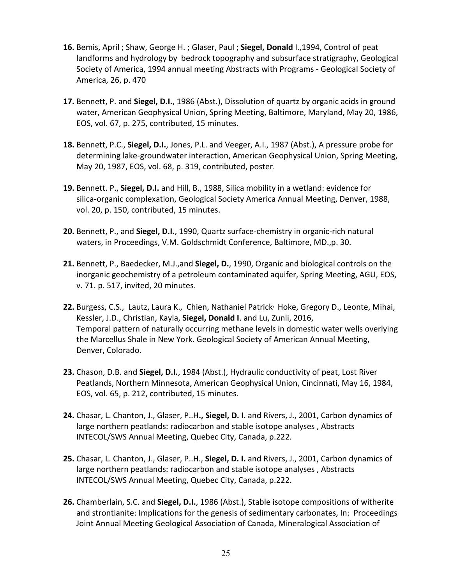- **16.** Bemis, April ; Shaw, George H. ; Glaser, Paul ; **Siegel, Donald** I.,1994, Control of peat landforms and hydrology by bedrock topography and subsurface stratigraphy, Geological Society of America, 1994 annual meeting Abstracts with Programs - Geological Society of America, 26, p. 470
- **17.** Bennett, P. and **Siegel, D.I.**, 1986 (Abst.), Dissolution of quartz by organic acids in ground water, American Geophysical Union, Spring Meeting, Baltimore, Maryland, May 20, 1986, EOS, vol. 67, p. 275, contributed, 15 minutes.
- **18.** Bennett, P.C., **Siegel, D.I.**, Jones, P.L. and Veeger, A.I., 1987 (Abst.), A pressure probe for determining lake-groundwater interaction, American Geophysical Union, Spring Meeting, May 20, 1987, EOS, vol. 68, p. 319, contributed, poster.
- **19.** Bennett. P., **Siegel, D.I.** and Hill, B., 1988, Silica mobility in a wetland: evidence for silica-organic complexation, Geological Society America Annual Meeting, Denver, 1988, vol. 20, p. 150, contributed, 15 minutes.
- **20.** Bennett, P., and **Siegel, D.I.**, 1990, Quartz surface-chemistry in organic-rich natural waters, in Proceedings, V.M. Goldschmidt Conference, Baltimore, MD.,p. 30.
- **21.** Bennett, P., Baedecker, M.J.,and **Siegel, D.**, 1990, Organic and biological controls on the inorganic geochemistry of a petroleum contaminated aquifer, Spring Meeting, AGU, EOS, v. 71. p. 517, invited, 20 minutes.
- 22. Burgess, C.S., Lautz, Laura K., Chien, Nathaniel Patrick<sup>,</sup> Hoke, Gregory D., Leonte, Mihai, Kessler, J.D., Christian, Kayla, **Siegel, Donald I**. and Lu, Zunli, 2016, Temporal pattern of naturally occurring methane levels in domestic water wells overlying the Marcellus Shale in New York. Geological Society of American Annual Meeting, Denver, Colorado.
- **23.** Chason, D.B. and **Siegel, D.I.**, 1984 (Abst.), Hydraulic conductivity of peat, Lost River Peatlands, Northern Minnesota, American Geophysical Union, Cincinnati, May 16, 1984, EOS, vol. 65, p. 212, contributed, 15 minutes.
- **24.** Chasar, L. Chanton, J., Glaser, P..H**., Siegel, D. I**. and Rivers, J., 2001, Carbon dynamics of large northern peatlands: radiocarbon and stable isotope analyses , Abstracts INTECOL/SWS Annual Meeting, Quebec City, Canada, p.222.
- **25.** Chasar, L. Chanton, J., Glaser, P..H., **Siegel, D. I.** and Rivers, J., 2001, Carbon dynamics of large northern peatlands: radiocarbon and stable isotope analyses , Abstracts INTECOL/SWS Annual Meeting, Quebec City, Canada, p.222.
- **26.** Chamberlain, S.C. and **Siegel, D.I.**, 1986 (Abst.), Stable isotope compositions of witherite and strontianite: Implications for the genesis of sedimentary carbonates, In: Proceedings Joint Annual Meeting Geological Association of Canada, Mineralogical Association of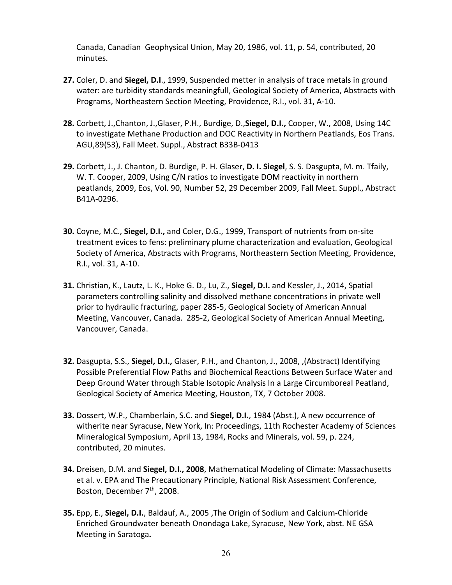Canada, Canadian Geophysical Union, May 20, 1986, vol. 11, p. 54, contributed, 20 minutes.

- **27.** Coler, D. and **Siegel, D.I**., 1999, Suspended metter in analysis of trace metals in ground water: are turbidity standards meaningfull, Geological Society of America, Abstracts with Programs, Northeastern Section Meeting, Providence, R.I., vol. 31, A-10.
- **28.** Corbett, J.,Chanton, J.,Glaser, P.H., Burdige, D.,**Siegel, D.I.,** Cooper, W., 2008, Using 14C to investigate Methane Production and DOC Reactivity in Northern Peatlands, Eos Trans. AGU,89(53), Fall Meet. Suppl., Abstract B33B-0413
- **29.** Corbett, J., J. Chanton, D. Burdige, P. H. Glaser, **D. I. Siegel**, S. S. Dasgupta, M. m. Tfaily, W. T. Cooper, 2009, Using C/N ratios to investigate DOM reactivity in northern peatlands, 2009, Eos, Vol. 90, Number 52, 29 December 2009, Fall Meet. Suppl., Abstract B41A-0296.
- **30.** Coyne, M.C., **Siegel, D.I.,** and Coler, D.G., 1999, Transport of nutrients from on-site treatment evices to fens: preliminary plume characterization and evaluation, Geological Society of America, Abstracts with Programs, Northeastern Section Meeting, Providence, R.I., vol. 31, A-10.
- **31.** Christian, K., Lautz, L. K., Hoke G. D., Lu, Z., **Siegel, D.I.** and Kessler, J., 2014, Spatial parameters controlling salinity and dissolved methane concentrations in private well prior to hydraulic fracturing, paper 285-5, Geological Society of American Annual Meeting, Vancouver, Canada. 285-2, Geological Society of American Annual Meeting, Vancouver, Canada.
- **32.** Dasgupta, S.S., **Siegel, D.I.,** Glaser, P.H., and Chanton, J., 2008, ,(Abstract) Identifying Possible Preferential Flow Paths and Biochemical Reactions Between Surface Water and Deep Ground Water through Stable Isotopic Analysis In a Large Circumboreal Peatland, Geological Society of America Meeting, Houston, TX, 7 October 2008.
- **33.** Dossert, W.P., Chamberlain, S.C. and **Siegel, D.I.**, 1984 (Abst.), A new occurrence of witherite near Syracuse, New York, In: Proceedings, 11th Rochester Academy of Sciences Mineralogical Symposium, April 13, 1984, Rocks and Minerals, vol. 59, p. 224, contributed, 20 minutes.
- **34.** Dreisen, D.M. and **Siegel, D.I., 2008**, Mathematical Modeling of Climate: Massachusetts et al. v. EPA and The Precautionary Principle, National Risk Assessment Conference, Boston, December 7<sup>th</sup>, 2008.
- **35.** Epp, E., **Siegel, D.I.**, Baldauf, A., 2005 ,The Origin of Sodium and Calcium-Chloride Enriched Groundwater beneath Onondaga Lake, Syracuse, New York, abst. NE GSA Meeting in Saratoga**.**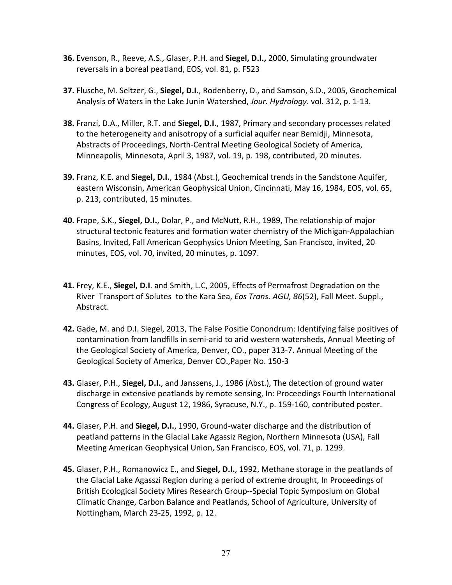- **36.** Evenson, R., Reeve, A.S., Glaser, P.H. and **Siegel, D.I.,** 2000, Simulating groundwater reversals in a boreal peatland, EOS, vol. 81, p. F523
- **37.** Flusche, M. Seltzer, G., **Siegel, D.I**., Rodenberry, D., and Samson, S.D., 2005, Geochemical Analysis of Waters in the Lake Junin Watershed, *Jour. Hydrology*. vol. 312, p. 1-13.
- **38.** Franzi, D.A., Miller, R.T. and **Siegel, D.I.**, 1987, Primary and secondary processes related to the heterogeneity and anisotropy of a surficial aquifer near Bemidji, Minnesota, Abstracts of Proceedings, North-Central Meeting Geological Society of America, Minneapolis, Minnesota, April 3, 1987, vol. 19, p. 198, contributed, 20 minutes.
- **39.** Franz, K.E. and **Siegel, D.I.**, 1984 (Abst.), Geochemical trends in the Sandstone Aquifer, eastern Wisconsin, American Geophysical Union, Cincinnati, May 16, 1984, EOS, vol. 65, p. 213, contributed, 15 minutes.
- **40.** Frape, S.K., **Siegel, D.I.**, Dolar, P., and McNutt, R.H., 1989, The relationship of major structural tectonic features and formation water chemistry of the Michigan-Appalachian Basins, Invited, Fall American Geophysics Union Meeting, San Francisco, invited, 20 minutes, EOS, vol. 70, invited, 20 minutes, p. 1097.
- **41.** Frey, K.E., **Siegel, D.I**. and Smith, L.C, 2005, Effects of Permafrost Degradation on the River Transport of Solutes to the Kara Sea, *Eos Trans. AGU, 86*(52), Fall Meet. Suppl., Abstract.
- **42.** Gade, M. and D.I. Siegel, 2013, The False Positie Conondrum: Identifying false positives of contamination from landfills in semi-arid to arid western watersheds, Annual Meeting of the Geological Society of America, Denver, CO., paper 313-7. Annual Meeting of the Geological Society of America, Denver CO.,Paper No. 150-3
- **43.** Glaser, P.H., **Siegel, D.I.**, and Janssens, J., 1986 (Abst.), The detection of ground water discharge in extensive peatlands by remote sensing, In: Proceedings Fourth International Congress of Ecology, August 12, 1986, Syracuse, N.Y., p. 159-160, contributed poster.
- **44.** Glaser, P.H. and **Siegel, D.I.**, 1990, Ground-water discharge and the distribution of peatland patterns in the Glacial Lake Agassiz Region, Northern Minnesota (USA), Fall Meeting American Geophysical Union, San Francisco, EOS, vol. 71, p. 1299.
- **45.** Glaser, P.H., Romanowicz E., and **Siegel, D.I.**, 1992, Methane storage in the peatlands of the Glacial Lake Agasszi Region during a period of extreme drought, In Proceedings of British Ecological Society Mires Research Group--Special Topic Symposium on Global Climatic Change, Carbon Balance and Peatlands, School of Agriculture, University of Nottingham, March 23-25, 1992, p. 12.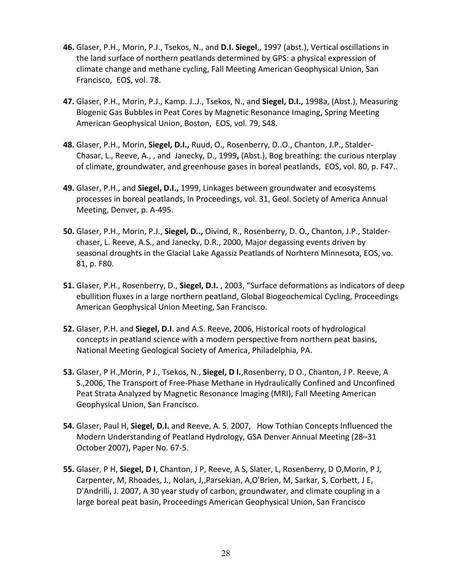- **46.** Glaser, P.H., Morin, P.J., Tsekos, N., and **D.I. Siegel**,, 1997 (abst.), Vertical oscillations in the land surface of northern peatlands determined by GPS: a physical expression of climate change and methane cycling, Fall Meeting American Geophysical Union, San Francisco, EOS, vol. 78.
- **47.** Glaser, P.H., Morin, P.J., Kamp. J..J., Tsekos, N., and **Siegel, D.I.,** 1998a, (Abst.), Measuring Biogenic Gas Bubbles in Peat Cores by Magnetic Resonance Imaging, Spring Meeting American Geophysical Union, Boston, EOS, vol. 79, S48.
- **48.** Glaser, P.H., Morin, **Siegel, D.I.,** Ruud, O., Rosenberry, D..O., Chanton, J.P., Stalder-Chasar, L., Reeve, A., , and Janecky, D., 1999**,** (Abst.), Bog breathing: the curious nterplay of climate, groundwater, and greenhouse gases in boreal peatlands, EOS, vol. 80, p. F47..
- **49.** Glaser, P.H., and **Siegel, D.I.,** 1999, Linkages between groundwater and ecosystems processes in boreal peatlands, In Proceedings, vol. 31, Geol. Society of America Annual Meeting, Denver, p. A-495.
- **50.** Glaser, P.H., Morin, P.J., **Siegel, D..,** Oivind, R., Rosenberry, D. O., Chanton, J.P., Stalderchaser, L. Reeve, A.S., and Janecky, D.R., 2000, Major degassing events driven by seasonal droughts in the Glacial Lake Agassiz Peatlands of Norhtern Minnesota, EOS, vo. 81, p. F80.
- **51.** Glaser, P.H., Rosenberry, D., **Siegel, D.I.** , 2003, "Surface deformations as indicators of deep ebullition fluxes in a large northern peatland, Global Biogeochemical Cycling, Proceedings American Geophysical Union Meeting, San Francisco.
- **52.** Glaser, P.H. and **Siegel, D.I**. and A.S. Reeve, 2006, Historical roots of hydrological concepts in peatland science with a modern perspective from northern peat basins, National Meeting Geological Society of America, Philadelphia, PA.
- **53.** Glaser, P H.,Morin, P J., Tsekos, N., **Siegel, D I.**,Rosenberry, D O., Chanton, J P. Reeve, A S.,2006, The Transport of Free-Phase Methane in Hydraulically Confined and Unconfined Peat Strata Analyzed by Magnetic Resonance Imaging (MRI), Fall Meeting American Geophysical Union, San Francisco.
- **54.** Glaser, Paul H, **Siegel, D.I.** and Reeve, A. S. 2007, How Tothian Concepts Influenced the Modern Understanding of Peatland Hydrology, GSA Denver Annual Meeting (28–31 October 2007), Paper No. 67-5.
- **55.** Glaser, P H, **Siegel, D I**, Chanton, J P, Reeve, A S, Slater, L, Rosenberry, D O,Morin, P J, Carpenter, M, Rhoades, J., Nolan, J,,Parsekian, A,O'Brien, M, Sarkar, S, Corbett, J E, D'Andrilli, J. 2007, A 30 year study of carbon, groundwater, and climate coupling in a large boreal peat basin, Proceedings American Geophysical Union, San Francisco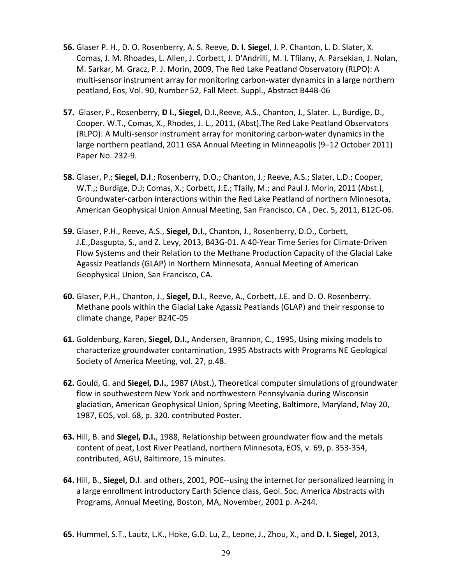- **56.** Glaser P. H., D. O. Rosenberry, A. S. Reeve, **D. I. Siegel**, J. P. Chanton, L. D. Slater, X. Comas, J. M. Rhoades, L. Allen, J. Corbett, J. D'Andrilli, M. I. Tfilany, A. Parsekian, J. Nolan, M. Sarkar, M. Gracz, P. J. Morin, 2009, The Red Lake Peatland Observatory (RLPO): A multi-sensor instrument array for monitoring carbon-water dynamics in a large northern peatland, Eos, Vol. 90, Number 52, Fall Meet. Suppl., Abstract B44B-06
- **57.** Glaser, P., Rosenberry, **D I., Siegel,** D.I.,Reeve, A.S., Chanton, J., Slater. L., Burdige, D., Cooper. W.T., Comas, X., Rhodes, J. L., 2011, (Abst).The Red Lake Peatland Observators (RLPO): A Multi-sensor instrument array for monitoring carbon-water dynamics in the large northern peatland, 2011 GSA Annual Meeting in Minneapolis (9–12 October 2011) Paper No. 232-9.
- **58.** Glaser, P.; **Siegel, D.I**.; Rosenberry, D.O.; Chanton, J.; Reeve, A.S.; Slater, L.D.; Cooper, W.T.,; Burdige, D.J; Comas, X.; Corbett, J.E.; Tfaily, M.; and Paul J. Morin, 2011 (Abst.), Groundwater-carbon interactions within the Red Lake Peatland of northern Minnesota, American Geophysical Union Annual Meeting, San Francisco, CA , Dec. 5, 2011, B12C-06.
- **59.** Glaser, P.H., Reeve, A.S., **Siegel, D.I**., Chanton, J., Rosenberry, D.O., Corbett, J.E.,Dasgupta, S., and Z. Levy, 2013, B43G-01. A 40-Year Time Series for Climate-Driven Flow Systems and their Relation to the Methane Production Capacity of the Glacial Lake Agassiz Peatlands (GLAP) In Northern Minnesota, Annual Meeting of American Geophysical Union, San Francisco, CA.
- **60.** Glaser, P.H., Chanton, J., **Siegel, D.I**., Reeve, A., Corbett, J.E. and D. O. Rosenberry. Methane pools within the Glacial Lake Agassiz Peatlands (GLAP) and their response to climate change, Paper B24C-05
- **61.** Goldenburg, Karen, **Siegel, D.I.,** Andersen, Brannon, C., 1995, Using mixing models to characterize groundwater contamination, 1995 Abstracts with Programs NE Geological Society of America Meeting, vol. 27, p.48.
- **62.** Gould, G. and **Siegel, D.I.**, 1987 (Abst.), Theoretical computer simulations of groundwater flow in southwestern New York and northwestern Pennsylvania during Wisconsin glaciation, American Geophysical Union, Spring Meeting, Baltimore, Maryland, May 20, 1987, EOS, vol. 68, p. 320. contributed Poster.
- **63.** Hill, B. and **Siegel, D.I.**, 1988, Relationship between groundwater flow and the metals content of peat, Lost River Peatland, northern Minnesota, EOS, v. 69, p. 353-354, contributed, AGU, Baltimore, 15 minutes.
- **64.** Hill, B., **Siegel, D.I**. and others, 2001, POE--using the internet for personalized learning in a large enrollment introductory Earth Science class, Geol. Soc. America Abstracts with Programs, Annual Meeting, Boston, MA, November, 2001 p. A-244.
- **65.** Hummel, S.T., Lautz, L.K., Hoke, G.D. Lu, Z., Leone, J., Zhou, X., and **D. I. Siegel,** 2013,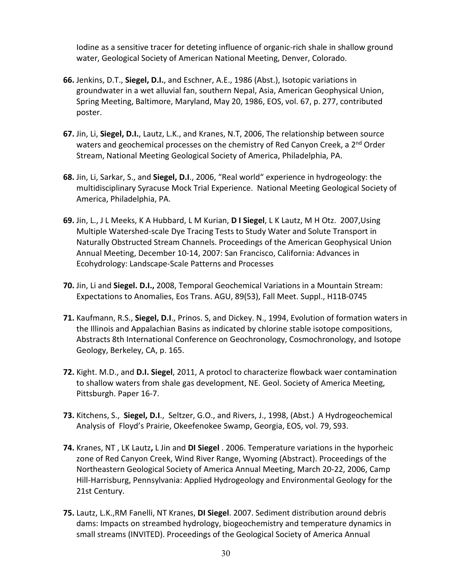Iodine as a sensitive tracer for deteting influence of organic-rich shale in shallow ground water, Geological Society of American National Meeting, Denver, Colorado.

- **66.** Jenkins, D.T., **Siegel, D.I.**, and Eschner, A.E., 1986 (Abst.), Isotopic variations in groundwater in a wet alluvial fan, southern Nepal, Asia, American Geophysical Union, Spring Meeting, Baltimore, Maryland, May 20, 1986, EOS, vol. 67, p. 277, contributed poster.
- **67.** Jin, Li, **Siegel, D.I.**, Lautz, L.K., and Kranes, N.T, 2006, The relationship between source waters and geochemical processes on the chemistry of Red Canyon Creek, a 2<sup>nd</sup> Order Stream, National Meeting Geological Society of America, Philadelphia, PA.
- **68.** Jin, Li, Sarkar, S., and **Siegel, D.I**., 2006, "Real world" experience in hydrogeology: the multidisciplinary Syracuse Mock Trial Experience. National Meeting Geological Society of America, Philadelphia, PA.
- **69.** Jin, L., J L Meeks, K A Hubbard, L M Kurian, **D I Siegel**, L K Lautz, M H Otz. 2007,Using Multiple Watershed-scale Dye Tracing Tests to Study Water and Solute Transport in Naturally Obstructed Stream Channels. Proceedings of the American Geophysical Union Annual Meeting, December 10-14, 2007: San Francisco, California: Advances in Ecohydrology: Landscape-Scale Patterns and Processes
- **70.** Jin, Li and **Siegel. D.I.,** 2008, Temporal Geochemical Variations in a Mountain Stream: Expectations to Anomalies, Eos Trans. AGU, 89(53), Fall Meet. Suppl., H11B-0745
- **71.** Kaufmann, R.S., **Siegel, D.I**., Prinos. S, and Dickey. N., 1994, Evolution of formation waters in the Illinois and Appalachian Basins as indicated by chlorine stable isotope compositions, Abstracts 8th International Conference on Geochronology, Cosmochronology, and Isotope Geology, Berkeley, CA, p. 165.
- **72.** Kight. M.D., and **D.I. Siegel**, 2011, A protocl to characterize flowback waer contamination to shallow waters from shale gas development, NE. Geol. Society of America Meeting, Pittsburgh. Paper 16-7.
- **73.** Kitchens, S., **Siegel, D.I**., Seltzer, G.O., and Rivers, J., 1998, (Abst.) A Hydrogeochemical Analysis of Floyd's Prairie, Okeefenokee Swamp, Georgia, EOS, vol. 79, S93.
- **74.** Kranes, NT , LK Lautz**,** L Jin and **DI Siegel** . 2006. Temperature variations in the hyporheic zone of Red Canyon Creek, Wind River Range, Wyoming (Abstract). Proceedings of the Northeastern Geological Society of America Annual Meeting, March 20-22, 2006, Camp Hill-Harrisburg, Pennsylvania: Applied Hydrogeology and Environmental Geology for the 21st Century.
- **75.** Lautz, L.K.,RM Fanelli, NT Kranes, **DI Siegel**. 2007. Sediment distribution around debris dams: Impacts on streambed hydrology, biogeochemistry and temperature dynamics in small streams (INVITED). Proceedings of the Geological Society of America Annual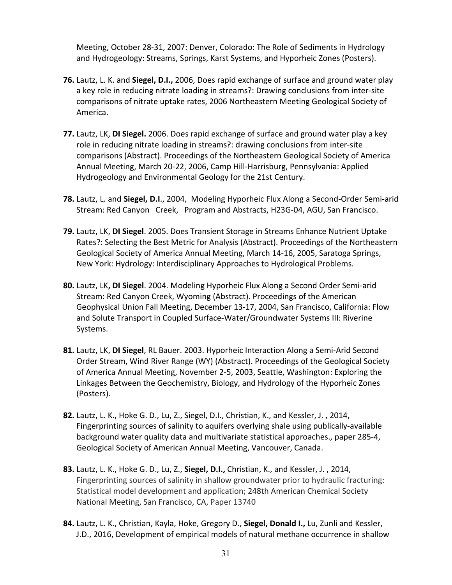Meeting, October 28-31, 2007: Denver, Colorado: The Role of Sediments in Hydrology and Hydrogeology: Streams, Springs, Karst Systems, and Hyporheic Zones (Posters).

- **76.** Lautz, L. K. and **Siegel, D.I.,** 2006, Does rapid exchange of surface and ground water play a key role in reducing nitrate loading in streams?: Drawing conclusions from inter-site comparisons of nitrate uptake rates, 2006 Northeastern Meeting Geological Society of America.
- **77.** Lautz, LK, **DI Siegel.** 2006. Does rapid exchange of surface and ground water play a key role in reducing nitrate loading in streams?: drawing conclusions from inter-site comparisons (Abstract). Proceedings of the Northeastern Geological Society of America Annual Meeting, March 20-22, 2006, Camp Hill-Harrisburg, Pennsylvania: Applied Hydrogeology and Environmental Geology for the 21st Century.
- **78.** Lautz, L. and **Siegel, D.I**., 2004, Modeling Hyporheic Flux Along a Second-Order Semi-arid Stream: Red Canyon Creek, Program and Abstracts, H23G-04, AGU, San Francisco.
- **79.** Lautz, LK, **DI Siegel**. 2005. Does Transient Storage in Streams Enhance Nutrient Uptake Rates?: Selecting the Best Metric for Analysis (Abstract). Proceedings of the Northeastern Geological Society of America Annual Meeting, March 14-16, 2005, Saratoga Springs, New York: Hydrology: Interdisciplinary Approaches to Hydrological Problems.
- **80.** Lautz, LK**, DI Siegel**. 2004. Modeling Hyporheic Flux Along a Second Order Semi-arid Stream: Red Canyon Creek, Wyoming (Abstract). Proceedings of the American Geophysical Union Fall Meeting, December 13-17, 2004, San Francisco, California: Flow and Solute Transport in Coupled Surface-Water/Groundwater Systems III: Riverine Systems.
- **81.** Lautz, LK, **DI Siegel**, RL Bauer. 2003. Hyporheic Interaction Along a Semi-Arid Second Order Stream, Wind River Range (WY) (Abstract). Proceedings of the Geological Society of America Annual Meeting, November 2-5, 2003, Seattle, Washington: Exploring the Linkages Between the Geochemistry, Biology, and Hydrology of the Hyporheic Zones (Posters).
- **82.** Lautz, L. K., Hoke G. D., Lu, Z., Siegel, D.I., Christian, K., and Kessler, J. , 2014, Fingerprinting sources of salinity to aquifers overlying shale using publically-available background water quality data and multivariate statistical approaches., paper 285-4, Geological Society of American Annual Meeting, Vancouver, Canada.
- **83.** Lautz, L. K., Hoke G. D., Lu, Z., **Siegel, D.I.,** Christian, K., and Kessler, J. , 2014, Fingerprinting sources of salinity in shallow groundwater prior to hydraulic fracturing: Statistical model development and application; 248th American Chemical Society National Meeting, San Francisco, CA, Paper 13740
- **84.** Lautz, L. K., Christian, Kayla, Hoke, Gregory D., **Siegel, Donald I.,** Lu, Zunli and Kessler, J.D., 2016, Development of empirical models of natural methane occurrence in shallow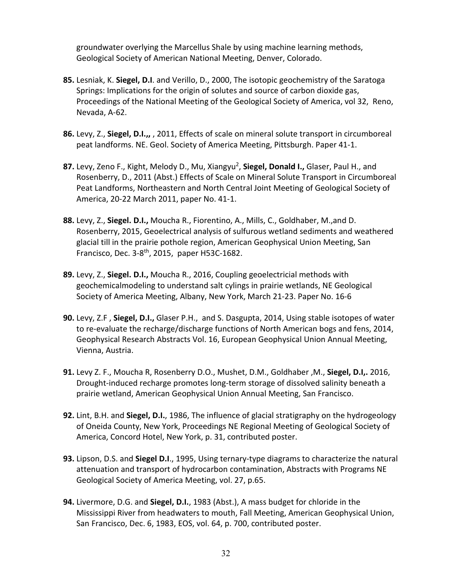groundwater overlying the Marcellus Shale by using machine learning methods, Geological Society of American National Meeting, Denver, Colorado.

- **85.** Lesniak, K. **Siegel, D.I**. and Verillo, D., 2000, The isotopic geochemistry of the Saratoga Springs: Implications for the origin of solutes and source of carbon dioxide gas, Proceedings of the National Meeting of the Geological Society of America, vol 32, Reno, Nevada, A-62.
- **86.** Levy, Z., **Siegel, D.I.,,** , 2011, Effects of scale on mineral solute transport in circumboreal peat landforms. NE. Geol. Society of America Meeting, Pittsburgh. Paper 41-1.
- **87.** Levy, Zeno F., Kight, Melody D., Mu, Xiangyu2, **Siegel, Donald I.,** Glaser, Paul H., and Rosenberry, D., 2011 (Abst.) Effects of Scale on Mineral Solute Transport in Circumboreal Peat Landforms, Northeastern and North Central Joint Meeting of Geological Society of America, 20-22 March 2011, paper No. 41-1.
- **88.** Levy, Z., **Siegel. D.I.,** Moucha R., Fiorentino, A., Mills, C., Goldhaber, M.,and D. Rosenberry, 2015, Geoelectrical analysis of sulfurous wetland sediments and weathered glacial till in the prairie pothole region, American Geophysical Union Meeting, San Francisco, Dec.  $3-8$ <sup>th</sup>, 2015, paper H53C-1682.
- **89.** Levy, Z., **Siegel. D.I.,** Moucha R., 2016, Coupling geoelectricial methods with geochemicalmodeling to understand salt cylings in prairie wetlands, NE Geological Society of America Meeting, Albany, New York, March 21-23. Paper No. 16-6
- **90.** Levy, Z.F , **Siegel, D.I.,** Glaser P.H., and S. Dasgupta, 2014, Using stable isotopes of water to re-evaluate the recharge/discharge functions of North American bogs and fens, 2014, Geophysical Research Abstracts Vol. 16, European Geophysical Union Annual Meeting, Vienna, Austria.
- **91.** Levy Z. F., Moucha R, Rosenberry D.O., Mushet, D.M., Goldhaber ,M., **Siegel, D.I,.** 2016, Drought-induced recharge promotes long-term storage of dissolved salinity beneath a prairie wetland, American Geophysical Union Annual Meeting, San Francisco.
- **92.** Lint, B.H. and **Siegel, D.I.**, 1986, The influence of glacial stratigraphy on the hydrogeology of Oneida County, New York, Proceedings NE Regional Meeting of Geological Society of America, Concord Hotel, New York, p. 31, contributed poster.
- **93.** Lipson, D.S. and **Siegel D.I**., 1995, Using ternary-type diagrams to characterize the natural attenuation and transport of hydrocarbon contamination, Abstracts with Programs NE Geological Society of America Meeting, vol. 27, p.65.
- **94.** Livermore, D.G. and **Siegel, D.I.**, 1983 (Abst.), A mass budget for chloride in the Mississippi River from headwaters to mouth, Fall Meeting, American Geophysical Union, San Francisco, Dec. 6, 1983, EOS, vol. 64, p. 700, contributed poster.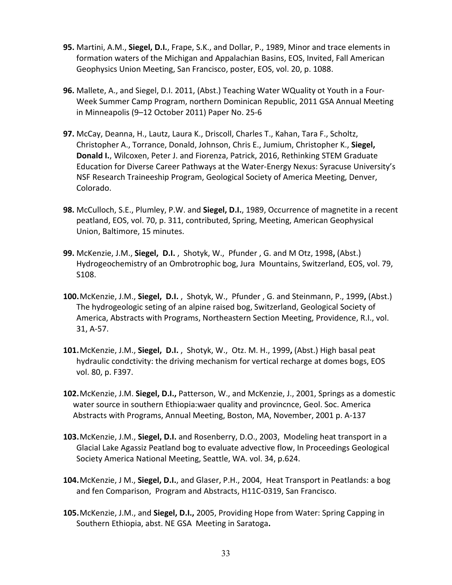- **95.** Martini, A.M., **Siegel, D.I.**, Frape, S.K., and Dollar, P., 1989, Minor and trace elements in formation waters of the Michigan and Appalachian Basins, EOS, Invited, Fall American Geophysics Union Meeting, San Francisco, poster, EOS, vol. 20, p. 1088.
- **96.** Mallete, A., and Siegel, D.I. 2011, (Abst.) Teaching Water WQuality ot Youth in a Four-Week Summer Camp Program, northern Dominican Republic, 2011 GSA Annual Meeting in Minneapolis (9–12 October 2011) Paper No. 25-6
- **97.** McCay, Deanna, H., Lautz, Laura K., Driscoll, Charles T., Kahan, Tara F., Scholtz, Christopher A., Torrance, Donald, Johnson, Chris E., Jumium, Christopher K., **Siegel, Donald I.**, Wilcoxen, Peter J. and Fiorenza, Patrick, 2016, Rethinking STEM Graduate Education for Diverse Career Pathways at the Water-Energy Nexus: Syracuse University's NSF Research Traineeship Program, Geological Society of America Meeting, Denver, Colorado.
- **98.** McCulloch, S.E., Plumley, P.W. and **Siegel, D.I.**, 1989, Occurrence of magnetite in a recent peatland, EOS, vol. 70, p. 311, contributed, Spring, Meeting, American Geophysical Union, Baltimore, 15 minutes.
- **99.** McKenzie, J.M., **Siegel, D.I.** , Shotyk, W., Pfunder , G. and M Otz, 1998**,** (Abst.) Hydrogeochemistry of an Ombrotrophic bog, Jura Mountains, Switzerland, EOS, vol. 79, S108.
- **100.**McKenzie, J.M., **Siegel, D.I.** , Shotyk, W., Pfunder , G. and Steinmann, P., 1999**,** (Abst.) The hydrogeologic seting of an alpine raised bog, Switzerland, Geological Society of America, Abstracts with Programs, Northeastern Section Meeting, Providence, R.I., vol. 31, A-57.
- **101.**McKenzie, J.M., **Siegel, D.I.** , Shotyk, W., Otz. M. H., 1999**,** (Abst.) High basal peat hydraulic condctivity: the driving mechanism for vertical recharge at domes bogs, EOS vol. 80, p. F397.
- **102.**McKenzie, J.M. **Siegel, D.I.,** Patterson, W., and McKenzie, J., 2001, Springs as a domestic water source in southern Ethiopia:waer quality and provincnce, Geol. Soc. America Abstracts with Programs, Annual Meeting, Boston, MA, November, 2001 p. A-137
- **103.**McKenzie, J.M., **Siegel, D.I.** and Rosenberry, D.O., 2003, Modeling heat transport in a Glacial Lake Agassiz Peatland bog to evaluate advective flow, In Proceedings Geological Society America National Meeting, Seattle, WA. vol. 34, p.624.
- **104.**McKenzie, J M., **Siegel, D.I.**, and Glaser, P.H., 2004, Heat Transport in Peatlands: a bog and fen Comparison, Program and Abstracts, H11C-0319, San Francisco.
- **105.**McKenzie, J.M., and **Siegel, D.I.,** 2005, Providing Hope from Water: Spring Capping in Southern Ethiopia, abst. NE GSA Meeting in Saratoga**.**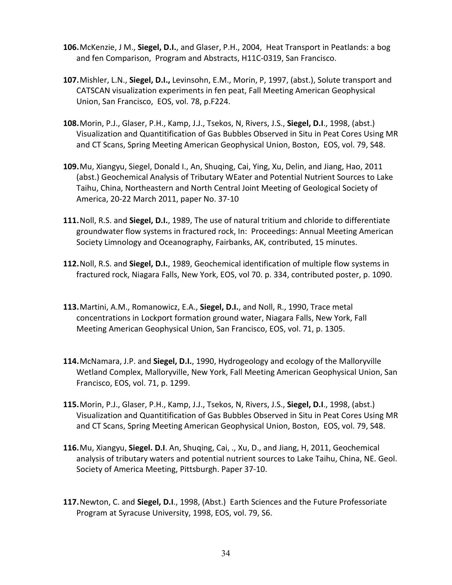- **106.**McKenzie, J M., **Siegel, D.I.**, and Glaser, P.H., 2004, Heat Transport in Peatlands: a bog and fen Comparison, Program and Abstracts, H11C-0319, San Francisco.
- **107.**Mishler, L.N., **Siegel, D.I.,** Levinsohn, E.M., Morin, P, 1997, (abst.), Solute transport and CATSCAN visualization experiments in fen peat, Fall Meeting American Geophysical Union, San Francisco, EOS, vol. 78, p.F224.
- **108.**Morin, P.J., Glaser, P.H., Kamp, J.J., Tsekos, N, Rivers, J.S., **Siegel, D.I**., 1998, (abst.) Visualization and Quantitification of Gas Bubbles Observed in Situ in Peat Cores Using MR and CT Scans, Spring Meeting American Geophysical Union, Boston, EOS, vol. 79, S48.
- **109.**Mu, Xiangyu, Siegel, Donald I., An, Shuqing, Cai, Ying, Xu, Delin, and Jiang, Hao, 2011 (abst.) Geochemical Analysis of Tributary WEater and Potential Nutrient Sources to Lake Taihu, China, Northeastern and North Central Joint Meeting of Geological Society of America, 20-22 March 2011, paper No. 37-10
- **111.**Noll, R.S. and **Siegel, D.I.**, 1989, The use of natural tritium and chloride to differentiate groundwater flow systems in fractured rock, In: Proceedings: Annual Meeting American Society Limnology and Oceanography, Fairbanks, AK, contributed, 15 minutes.
- **112.**Noll, R.S. and **Siegel, D.I.**, 1989, Geochemical identification of multiple flow systems in fractured rock, Niagara Falls, New York, EOS, vol 70. p. 334, contributed poster, p. 1090.
- **113.**Martini, A.M., Romanowicz, E.A., **Siegel, D.I.**, and Noll, R., 1990, Trace metal concentrations in Lockport formation ground water, Niagara Falls, New York, Fall Meeting American Geophysical Union, San Francisco, EOS, vol. 71, p. 1305.
- **114.**McNamara, J.P. and **Siegel, D.I.**, 1990, Hydrogeology and ecology of the Malloryville Wetland Complex, Malloryville, New York, Fall Meeting American Geophysical Union, San Francisco, EOS, vol. 71, p. 1299.
- **115.**Morin, P.J., Glaser, P.H., Kamp, J.J., Tsekos, N, Rivers, J.S., **Siegel, D.I**., 1998, (abst.) Visualization and Quantitification of Gas Bubbles Observed in Situ in Peat Cores Using MR and CT Scans, Spring Meeting American Geophysical Union, Boston, EOS, vol. 79, S48.
- **116.**Mu, Xiangyu, **Siegel. D.I**. An, Shuqing, Cai, ., Xu, D., and Jiang, H, 2011, Geochemical analysis of tributary waters and potential nutrient sources to Lake Taihu, China, NE. Geol. Society of America Meeting, Pittsburgh. Paper 37-10.
- **117.**Newton, C. and **Siegel, D.I**., 1998, (Abst.) Earth Sciences and the Future Professoriate Program at Syracuse University, 1998, EOS, vol. 79, S6.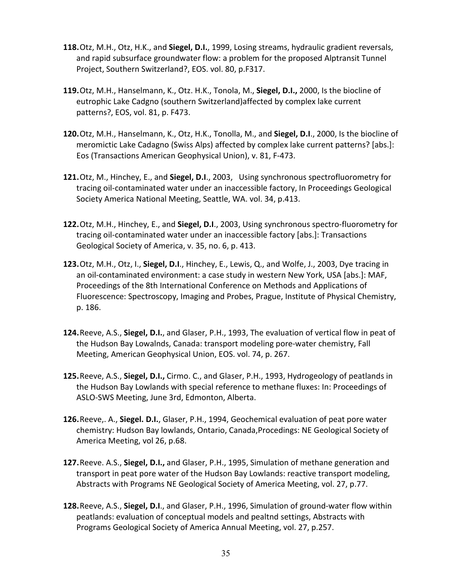- **118.**Otz, M.H., Otz, H.K., and **Siegel, D.I.**, 1999, Losing streams, hydraulic gradient reversals, and rapid subsurface groundwater flow: a problem for the proposed Alptransit Tunnel Project, Southern Switzerland?, EOS. vol. 80, p.F317.
- **119.**Otz, M.H., Hanselmann, K., Otz. H.K., Tonola, M., **Siegel, D.I.,** 2000, Is the biocline of eutrophic Lake Cadgno (southern Switzerland)affected by complex lake current patterns?, EOS, vol. 81, p. F473.
- **120.**Otz, M.H., Hanselmann, K., Otz, H.K., Tonolla, M., and **Siegel, D.I**., 2000, Is the biocline of meromictic Lake Cadagno (Swiss Alps) affected by complex lake current patterns? [abs.]: Eos (Transactions American Geophysical Union), v. 81, F-473.
- **121.**Otz, M., Hinchey, E., and **Siegel, D.I**., 2003, Using synchronous spectrofluorometry for tracing oil-contaminated water under an inaccessible factory, In Proceedings Geological Society America National Meeting, Seattle, WA. vol. 34, p.413.
- **122.**Otz, M.H., Hinchey, E., and **Siegel, D.I**., 2003, Using synchronous spectro-fluorometry for tracing oil-contaminated water under an inaccessible factory [abs.]: Transactions Geological Society of America, v. 35, no. 6, p. 413.
- **123.**Otz, M.H., Otz, I., **Siegel, D.I**., Hinchey, E., Lewis, Q., and Wolfe, J., 2003, Dye tracing in an oil-contaminated environment: a case study in western New York, USA [abs.]: MAF, Proceedings of the 8th International Conference on Methods and Applications of Fluorescence: Spectroscopy, Imaging and Probes, Prague, Institute of Physical Chemistry, p. 186.
- **124.**Reeve, A.S., **Siegel, D.I.**, and Glaser, P.H., 1993, The evaluation of vertical flow in peat of the Hudson Bay Lowalnds, Canada: transport modeling pore-water chemistry, Fall Meeting, American Geophysical Union, EOS. vol. 74, p. 267.
- **125.**Reeve, A.S., **Siegel, D.I.,** Cirmo. C., and Glaser, P.H., 1993, Hydrogeology of peatlands in the Hudson Bay Lowlands with special reference to methane fluxes: In: Proceedings of ASLO-SWS Meeting, June 3rd, Edmonton, Alberta.
- **126.**Reeve,. A., **Siegel. D.I.**, Glaser, P.H., 1994, Geochemical evaluation of peat pore water chemistry: Hudson Bay lowlands, Ontario, Canada,Procedings: NE Geological Society of America Meeting, vol 26, p.68.
- **127.**Reeve. A.S., **Siegel, D.I.,** and Glaser, P.H., 1995, Simulation of methane generation and transport in peat pore water of the Hudson Bay Lowlands: reactive transport modeling, Abstracts with Programs NE Geological Society of America Meeting, vol. 27, p.77.
- **128.**Reeve, A.S., **Siegel, D.I**., and Glaser, P.H., 1996, Simulation of ground-water flow within peatlands: evaluation of conceptual models and pealtnd settings, Abstracts with Programs Geological Society of America Annual Meeting, vol. 27, p.257.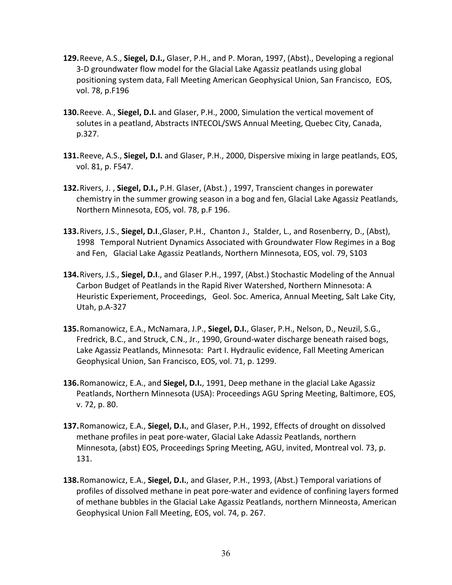- **129.**Reeve, A.S., **Siegel, D.I.,** Glaser, P.H., and P. Moran, 1997, (Abst)., Developing a regional 3-D groundwater flow model for the Glacial Lake Agassiz peatlands using global positioning system data, Fall Meeting American Geophysical Union, San Francisco, EOS, vol. 78, p.F196
- **130.**Reeve. A., **Siegel, D.I.** and Glaser, P.H., 2000, Simulation the vertical movement of solutes in a peatland, Abstracts INTECOL/SWS Annual Meeting, Quebec City, Canada, p.327.
- **131.**Reeve, A.S., **Siegel, D.I.** and Glaser, P.H., 2000, Dispersive mixing in large peatlands, EOS, vol. 81, p. F547.
- **132.**Rivers, J. , **Siegel, D.I.,** P.H. Glaser, (Abst.) , 1997, Transcient changes in porewater chemistry in the summer growing season in a bog and fen, Glacial Lake Agassiz Peatlands, Northern Minnesota, EOS, vol. 78, p.F 196.
- **133.**Rivers, J.S., **Siegel, D.I**.,Glaser, P.H., Chanton J., Stalder, L., and Rosenberry, D., (Abst), 1998 Temporal Nutrient Dynamics Associated with Groundwater Flow Regimes in a Bog and Fen, Glacial Lake Agassiz Peatlands, Northern Minnesota, EOS, vol. 79, S103
- **134.**Rivers, J.S., **Siegel, D.I**., and Glaser P.H., 1997, (Abst.) Stochastic Modeling of the Annual Carbon Budget of Peatlands in the Rapid River Watershed, Northern Minnesota: A Heuristic Experiement, Proceedings, Geol. Soc. America, Annual Meeting, Salt Lake City, Utah, p.A-327
- **135.**Romanowicz, E.A., McNamara, J.P., **Siegel, D.I.**, Glaser, P.H., Nelson, D., Neuzil, S.G., Fredrick, B.C., and Struck, C.N., Jr., 1990, Ground-water discharge beneath raised bogs, Lake Agassiz Peatlands, Minnesota: Part I. Hydraulic evidence, Fall Meeting American Geophysical Union, San Francisco, EOS, vol. 71, p. 1299.
- **136.**Romanowicz, E.A., and **Siegel, D.I.**, 1991, Deep methane in the glacial Lake Agassiz Peatlands, Northern Minnesota (USA): Proceedings AGU Spring Meeting, Baltimore, EOS, v. 72, p. 80.
- **137.**Romanowicz, E.A., **Siegel, D.I.**, and Glaser, P.H., 1992, Effects of drought on dissolved methane profiles in peat pore-water, Glacial Lake Adassiz Peatlands, northern Minnesota, (abst) EOS, Proceedings Spring Meeting, AGU, invited, Montreal vol. 73, p. 131.
- **138.**Romanowicz, E.A., **Siegel, D.I.**, and Glaser, P.H., 1993, (Abst.) Temporal variations of profiles of dissolved methane in peat pore-water and evidence of confining layers formed of methane bubbles in the Glacial Lake Agassiz Peatlands, northern Minneosta, American Geophysical Union Fall Meeting, EOS, vol. 74, p. 267.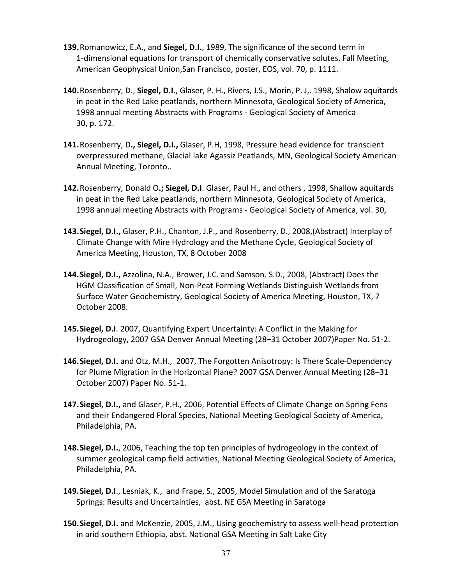- **139.**Romanowicz, E.A., and **Siegel, D.I.**, 1989, The significance of the second term in 1-dimensional equations for transport of chemically conservative solutes, Fall Meeting, American Geophysical Union,San Francisco, poster, EOS, vol. 70, p. 1111.
- **140.**Rosenberry, D., **Siegel, D.I**., Glaser, P. H., Rivers, J.S., Morin, P. J,. 1998, Shalow aquitards in peat in the Red Lake peatlands, northern Minnesota, Geological Society of America, 1998 annual meeting Abstracts with Programs - Geological Society of America 30, p. 172.
- **141.**Rosenberry, D**., Siegel, D.I.,** Glaser, P.H, 1998, Pressure head evidence for transcient overpressured methane, Glacial lake Agassiz Peatlands, MN, Geological Society American Annual Meeting, Toronto..
- **142.**Rosenberry, Donald O**.; Siegel, D.I**. Glaser, Paul H., and others , 1998, Shallow aquitards in peat in the Red Lake peatlands, northern Minnesota, Geological Society of America, 1998 annual meeting Abstracts with Programs - Geological Society of America, vol. 30,
- **143.Siegel, D.I.,** Glaser, P.H., Chanton, J.P., and Rosenberry, D., 2008,(Abstract) Interplay of Climate Change with Mire Hydrology and the Methane Cycle, Geological Society of America Meeting, Houston, TX, 8 October 2008
- **144.Siegel, D.I.,** Azzolina, N.A., Brower, J.C. and Samson. S.D., 2008, (Abstract) Does the HGM Classification of Small, Non-Peat Forming Wetlands Distinguish Wetlands from Surface Water Geochemistry, Geological Society of America Meeting, Houston, TX, 7 October 2008.
- **145.Siegel, D.I**. 2007, Quantifying Expert Uncertainty: A Conflict in the Making for Hydrogeology, 2007 GSA Denver Annual Meeting (28–31 October 2007)Paper No. 51-2.
- **146.Siegel, D.I.** and Otz, M.H., 2007, The Forgotten Anisotropy: Is There Scale-Dependency for Plume Migration in the Horizontal Plane? 2007 GSA Denver Annual Meeting (28–31 October 2007) Paper No. 51-1.
- **147.Siegel, D.I.,** and Glaser, P.H., 2006, Potential Effects of Climate Change on Spring Fens and their Endangered Floral Species, National Meeting Geological Society of America, Philadelphia, PA.
- **148.Siegel, D.I.**, 2006, Teaching the top ten principles of hydrogeology in the context of summer geological camp field activities, National Meeting Geological Society of America, Philadelphia, PA.
- **149.Siegel, D.I**., Lesniak, K., and Frape, S., 2005, Model Simulation and of the Saratoga Springs: Results and Uncertainties, abst. NE GSA Meeting in Saratoga
- **150.Siegel, D.I.** and McKenzie, 2005, J.M., Using geochemistry to assess well-head protection in arid southern Ethiopia, abst. National GSA Meeting in Salt Lake City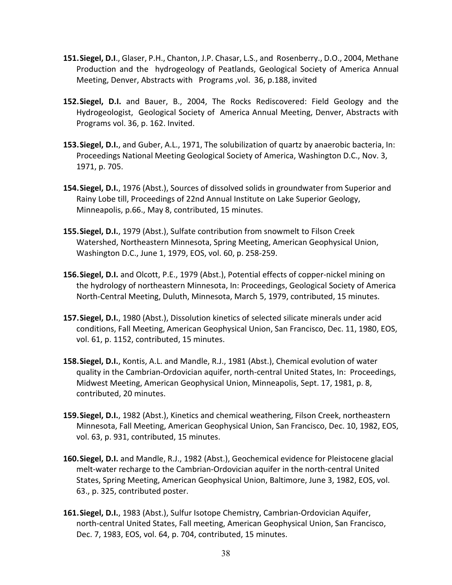- **151.Siegel, D.I**., Glaser, P.H., Chanton, J.P. Chasar, L.S., and Rosenberry., D.O., 2004, Methane Production and the hydrogeology of Peatlands, Geological Society of America Annual Meeting, Denver, Abstracts with Programs ,vol. 36, p.188, invited
- **152.Siegel, D.I.** and Bauer, B., 2004, The Rocks Rediscovered: Field Geology and the Hydrogeologist, Geological Society of America Annual Meeting, Denver, Abstracts with Programs vol. 36, p. 162. Invited.
- **153.Siegel, D.I.**, and Guber, A.L., 1971, The solubilization of quartz by anaerobic bacteria, In: Proceedings National Meeting Geological Society of America, Washington D.C., Nov. 3, 1971, p. 705.
- **154.Siegel, D.I.**, 1976 (Abst.), Sources of dissolved solids in groundwater from Superior and Rainy Lobe till, Proceedings of 22nd Annual Institute on Lake Superior Geology, Minneapolis, p.66., May 8, contributed, 15 minutes.
- **155.Siegel, D.I.**, 1979 (Abst.), Sulfate contribution from snowmelt to Filson Creek Watershed, Northeastern Minnesota, Spring Meeting, American Geophysical Union, Washington D.C., June 1, 1979, EOS, vol. 60, p. 258-259.
- **156.Siegel, D.I.** and Olcott, P.E., 1979 (Abst.), Potential effects of copper-nickel mining on the hydrology of northeastern Minnesota, In: Proceedings, Geological Society of America North-Central Meeting, Duluth, Minnesota, March 5, 1979, contributed, 15 minutes.
- **157.Siegel, D.I.**, 1980 (Abst.), Dissolution kinetics of selected silicate minerals under acid conditions, Fall Meeting, American Geophysical Union, San Francisco, Dec. 11, 1980, EOS, vol. 61, p. 1152, contributed, 15 minutes.
- **158.Siegel, D.I.**, Kontis, A.L. and Mandle, R.J., 1981 (Abst.), Chemical evolution of water quality in the Cambrian-Ordovician aquifer, north-central United States, In: Proceedings, Midwest Meeting, American Geophysical Union, Minneapolis, Sept. 17, 1981, p. 8, contributed, 20 minutes.
- **159.Siegel, D.I.**, 1982 (Abst.), Kinetics and chemical weathering, Filson Creek, northeastern Minnesota, Fall Meeting, American Geophysical Union, San Francisco, Dec. 10, 1982, EOS, vol. 63, p. 931, contributed, 15 minutes.
- **160.Siegel, D.I.** and Mandle, R.J., 1982 (Abst.), Geochemical evidence for Pleistocene glacial melt-water recharge to the Cambrian-Ordovician aquifer in the north-central United States, Spring Meeting, American Geophysical Union, Baltimore, June 3, 1982, EOS, vol. 63., p. 325, contributed poster.
- **161.Siegel, D.I.**, 1983 (Abst.), Sulfur Isotope Chemistry, Cambrian-Ordovician Aquifer, north-central United States, Fall meeting, American Geophysical Union, San Francisco, Dec. 7, 1983, EOS, vol. 64, p. 704, contributed, 15 minutes.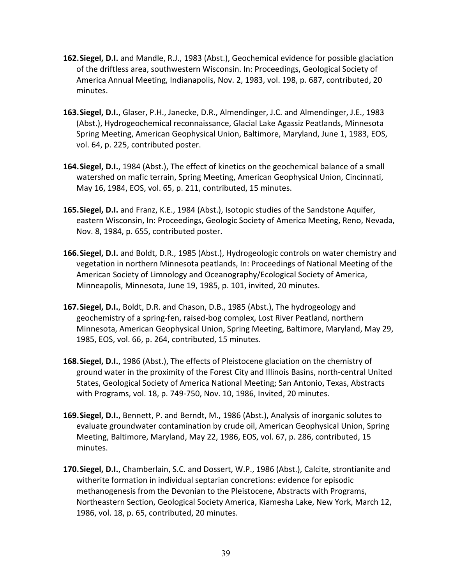- **162.Siegel, D.I.** and Mandle, R.J., 1983 (Abst.), Geochemical evidence for possible glaciation of the driftless area, southwestern Wisconsin. In: Proceedings, Geological Society of America Annual Meeting, Indianapolis, Nov. 2, 1983, vol. 198, p. 687, contributed, 20 minutes.
- **163.Siegel, D.I.**, Glaser, P.H., Janecke, D.R., Almendinger, J.C. and Almendinger, J.E., 1983 (Abst.), Hydrogeochemical reconnaissance, Glacial Lake Agassiz Peatlands, Minnesota Spring Meeting, American Geophysical Union, Baltimore, Maryland, June 1, 1983, EOS, vol. 64, p. 225, contributed poster.
- **164.Siegel, D.I.**, 1984 (Abst.), The effect of kinetics on the geochemical balance of a small watershed on mafic terrain, Spring Meeting, American Geophysical Union, Cincinnati, May 16, 1984, EOS, vol. 65, p. 211, contributed, 15 minutes.
- **165.Siegel, D.I.** and Franz, K.E., 1984 (Abst.), Isotopic studies of the Sandstone Aquifer, eastern Wisconsin, In: Proceedings, Geologic Society of America Meeting, Reno, Nevada, Nov. 8, 1984, p. 655, contributed poster.
- **166.Siegel, D.I.** and Boldt, D.R., 1985 (Abst.), Hydrogeologic controls on water chemistry and vegetation in northern Minnesota peatlands, In: Proceedings of National Meeting of the American Society of Limnology and Oceanography/Ecological Society of America, Minneapolis, Minnesota, June 19, 1985, p. 101, invited, 20 minutes.
- **167.Siegel, D.I.**, Boldt, D.R. and Chason, D.B., 1985 (Abst.), The hydrogeology and geochemistry of a spring-fen, raised-bog complex, Lost River Peatland, northern Minnesota, American Geophysical Union, Spring Meeting, Baltimore, Maryland, May 29, 1985, EOS, vol. 66, p. 264, contributed, 15 minutes.
- **168.Siegel, D.I.**, 1986 (Abst.), The effects of Pleistocene glaciation on the chemistry of ground water in the proximity of the Forest City and Illinois Basins, north-central United States, Geological Society of America National Meeting; San Antonio, Texas, Abstracts with Programs, vol. 18, p. 749-750, Nov. 10, 1986, Invited, 20 minutes.
- **169.Siegel, D.I.**, Bennett, P. and Berndt, M., 1986 (Abst.), Analysis of inorganic solutes to evaluate groundwater contamination by crude oil, American Geophysical Union, Spring Meeting, Baltimore, Maryland, May 22, 1986, EOS, vol. 67, p. 286, contributed, 15 minutes.
- **170.Siegel, D.I.**, Chamberlain, S.C. and Dossert, W.P., 1986 (Abst.), Calcite, strontianite and witherite formation in individual septarian concretions: evidence for episodic methanogenesis from the Devonian to the Pleistocene, Abstracts with Programs, Northeastern Section, Geological Society America, Kiamesha Lake, New York, March 12, 1986, vol. 18, p. 65, contributed, 20 minutes.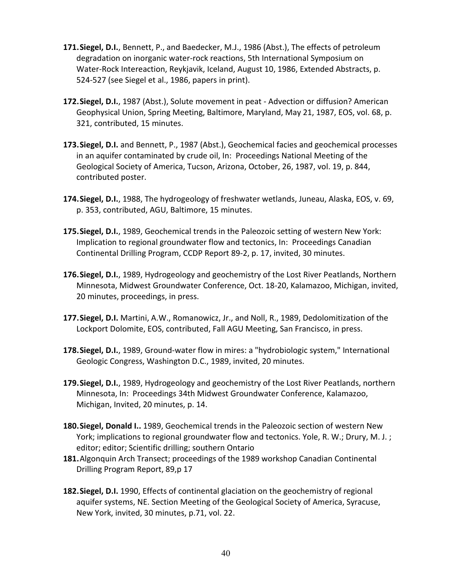- **171.Siegel, D.I.**, Bennett, P., and Baedecker, M.J., 1986 (Abst.), The effects of petroleum degradation on inorganic water-rock reactions, 5th International Symposium on Water-Rock Intereaction, Reykjavik, Iceland, August 10, 1986, Extended Abstracts, p. 524-527 (see Siegel et al., 1986, papers in print).
- **172.Siegel, D.I.**, 1987 (Abst.), Solute movement in peat Advection or diffusion? American Geophysical Union, Spring Meeting, Baltimore, Maryland, May 21, 1987, EOS, vol. 68, p. 321, contributed, 15 minutes.
- **173.Siegel, D.I.** and Bennett, P., 1987 (Abst.), Geochemical facies and geochemical processes in an aquifer contaminated by crude oil, In: Proceedings National Meeting of the Geological Society of America, Tucson, Arizona, October, 26, 1987, vol. 19, p. 844, contributed poster.
- **174.Siegel, D.I.**, 1988, The hydrogeology of freshwater wetlands, Juneau, Alaska, EOS, v. 69, p. 353, contributed, AGU, Baltimore, 15 minutes.
- **175.Siegel, D.I.**, 1989, Geochemical trends in the Paleozoic setting of western New York: Implication to regional groundwater flow and tectonics, In: Proceedings Canadian Continental Drilling Program, CCDP Report 89-2, p. 17, invited, 30 minutes.
- **176.Siegel, D.I.**, 1989, Hydrogeology and geochemistry of the Lost River Peatlands, Northern Minnesota, Midwest Groundwater Conference, Oct. 18-20, Kalamazoo, Michigan, invited, 20 minutes, proceedings, in press.
- **177.Siegel, D.I.** Martini, A.W., Romanowicz, Jr., and Noll, R., 1989, Dedolomitization of the Lockport Dolomite, EOS, contributed, Fall AGU Meeting, San Francisco, in press.
- **178.Siegel, D.I.**, 1989, Ground-water flow in mires: a "hydrobiologic system," International Geologic Congress, Washington D.C., 1989, invited, 20 minutes.
- **179.Siegel, D.I.**, 1989, Hydrogeology and geochemistry of the Lost River Peatlands, northern Minnesota, In: Proceedings 34th Midwest Groundwater Conference, Kalamazoo, Michigan, Invited, 20 minutes, p. 14.
- **180.Siegel, Donald I..** 1989, Geochemical trends in the Paleozoic section of western New York; implications to regional groundwater flow and tectonics. Yole, R. W.; Drury, M. J. ; editor; editor; Scientific drilling; southern Ontario
- **181.**Algonquin Arch Transect; proceedings of the 1989 workshop Canadian Continental Drilling Program Report, 89,p 17
- **182.Siegel, D.I.** 1990, Effects of continental glaciation on the geochemistry of regional aquifer systems, NE. Section Meeting of the Geological Society of America, Syracuse, New York, invited, 30 minutes, p.71, vol. 22.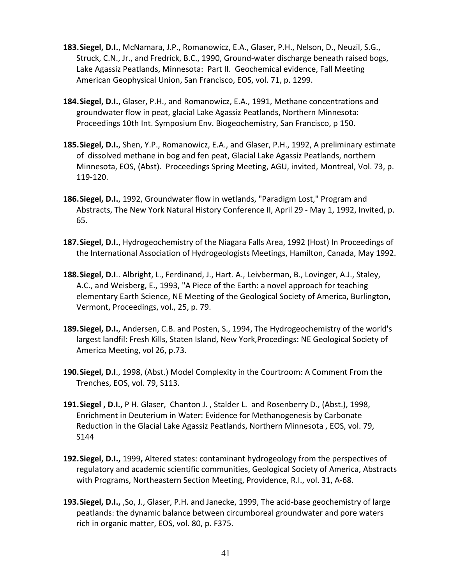- **183.Siegel, D.I.**, McNamara, J.P., Romanowicz, E.A., Glaser, P.H., Nelson, D., Neuzil, S.G., Struck, C.N., Jr., and Fredrick, B.C., 1990, Ground-water discharge beneath raised bogs, Lake Agassiz Peatlands, Minnesota: Part II. Geochemical evidence, Fall Meeting American Geophysical Union, San Francisco, EOS, vol. 71, p. 1299.
- **184.Siegel, D.I.**, Glaser, P.H., and Romanowicz, E.A., 1991, Methane concentrations and groundwater flow in peat, glacial Lake Agassiz Peatlands, Northern Minnesota: Proceedings 10th Int. Symposium Env. Biogeochemistry, San Francisco, p 150.
- **185.Siegel, D.I.**, Shen, Y.P., Romanowicz, E.A., and Glaser, P.H., 1992, A preliminary estimate of dissolved methane in bog and fen peat, Glacial Lake Agassiz Peatlands, northern Minnesota, EOS, (Abst). Proceedings Spring Meeting, AGU, invited, Montreal, Vol. 73, p. 119-120.
- **186.Siegel, D.I.**, 1992, Groundwater flow in wetlands, "Paradigm Lost," Program and Abstracts, The New York Natural History Conference II, April 29 - May 1, 1992, Invited, p. 65.
- **187.Siegel, D.I.**, Hydrogeochemistry of the Niagara Falls Area, 1992 (Host) In Proceedings of the International Association of Hydrogeologists Meetings, Hamilton, Canada, May 1992.
- **188.Siegel, D.I**.. Albright, L., Ferdinand, J., Hart. A., Leivberman, B., Lovinger, A.J., Staley, A.C., and Weisberg, E., 1993, "A Piece of the Earth: a novel approach for teaching elementary Earth Science, NE Meeting of the Geological Society of America, Burlington, Vermont, Proceedings, vol., 25, p. 79.
- **189.Siegel, D.I.**, Andersen, C.B. and Posten, S., 1994, The Hydrogeochemistry of the world's largest landfil: Fresh Kills, Staten Island, New York,Procedings: NE Geological Society of America Meeting, vol 26, p.73.
- **190.Siegel, D.I**., 1998, (Abst.) Model Complexity in the Courtroom: A Comment From the Trenches, EOS, vol. 79, S113.
- **191.Siegel , D.I.,** P H. Glaser, Chanton J. , Stalder L. and Rosenberry D., (Abst.), 1998, Enrichment in Deuterium in Water: Evidence for Methanogenesis by Carbonate Reduction in the Glacial Lake Agassiz Peatlands, Northern Minnesota , EOS, vol. 79, S144
- **192.Siegel, D.I.,** 1999**,** Altered states: contaminant hydrogeology from the perspectives of regulatory and academic scientific communities, Geological Society of America, Abstracts with Programs, Northeastern Section Meeting, Providence, R.I., vol. 31, A-68.
- **193.Siegel, D.I.,** ,So, J., Glaser, P.H. and Janecke, 1999, The acid-base geochemistry of large peatlands: the dynamic balance between circumboreal groundwater and pore waters rich in organic matter, EOS, vol. 80, p. F375.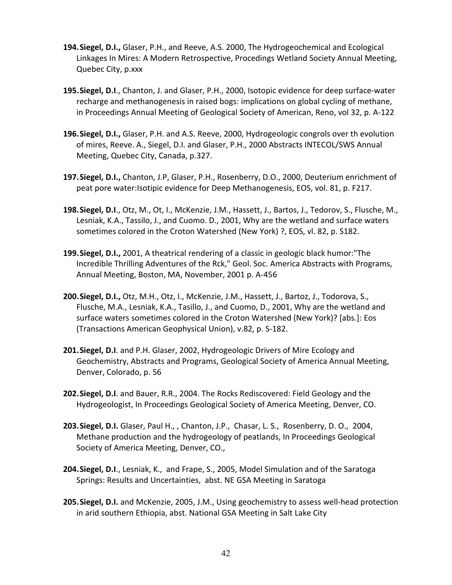- **194.Siegel, D.I.,** Glaser, P.H., and Reeve, A.S. 2000, The Hydrogeochemical and Ecological Linkages In Mires: A Modern Retrospective, Procedings Wetland Society Annual Meeting, Quebec City, p.xxx
- **195.Siegel, D.I**., Chanton, J. and Glaser, P.H., 2000, Isotopic evidence for deep surface-water recharge and methanogenesis in raised bogs: implications on global cycling of methane, in Proceedings Annual Meeting of Geological Society of American, Reno, vol 32, p. A-122
- **196.Siegel, D.I.,** Glaser, P.H. and A.S. Reeve, 2000, Hydrogeologic congrols over th evolution of mires, Reeve. A., Siegel, D.I. and Glaser, P.H., 2000 Abstracts INTECOL/SWS Annual Meeting, Quebec City, Canada, p.327.
- **197.Siegel, D.I.,** Chanton, J.P, Glaser, P.H., Rosenberry, D.O., 2000, Deuterium enrichment of peat pore water:Isotipic evidence for Deep Methanogenesis, EOS, vol. 81, p. F217.
- **198.Siegel, D.I**., Otz, M., Ot, I., McKenzie, J.M., Hassett, J., Bartos, J., Tedorov, S., Flusche, M., Lesniak, K.A., Tassilo, J., and Cuomo. D., 2001, Why are the wetland and surface waters sometimes colored in the Croton Watershed (New York) ?, EOS, vl. 82, p. S182.
- **199.Siegel, D.I.,** 2001, A theatrical rendering of a classic in geologic black humor:"The Incredible Thrilling Adventures of the Rck," Geol. Soc. America Abstracts with Programs, Annual Meeting, Boston, MA, November, 2001 p. A-456
- **200.Siegel, D.I.,** Otz, M.H., Otz, I., McKenzie, J.M., Hassett, J., Bartoz, J., Todorova, S., Flusche, M.A., Lesniak, K.A., Tasillo, J., and Cuomo, D., 2001, Why are the wetland and surface waters sometimes colored in the Croton Watershed (New York)? [abs.]: Eos (Transactions American Geophysical Union), v.82, p. S-182.
- **201.Siegel, D.I**. and P.H. Glaser, 2002, Hydrogeologic Drivers of Mire Ecology and Geochemistry, Abstracts and Programs, Geological Society of America Annual Meeting, Denver, Colorado, p. 56
- **202.Siegel, D.I**. and Bauer, R.R., 2004. The Rocks Rediscovered: Field Geology and the Hydrogeologist, In Proceedings Geological Society of America Meeting, Denver, CO.
- **203.Siegel, D.I.** Glaser, Paul H., , Chanton, J.P., Chasar, L. S., Rosenberry, D. O., 2004, Methane production and the hydrogeology of peatlands, In Proceedings Geological Society of America Meeting, Denver, CO.,
- **204.Siegel, D.I**., Lesniak, K., and Frape, S., 2005, Model Simulation and of the Saratoga Springs: Results and Uncertainties, abst. NE GSA Meeting in Saratoga
- **205.Siegel, D.I.** and McKenzie, 2005, J.M., Using geochemistry to assess well-head protection in arid southern Ethiopia, abst. National GSA Meeting in Salt Lake City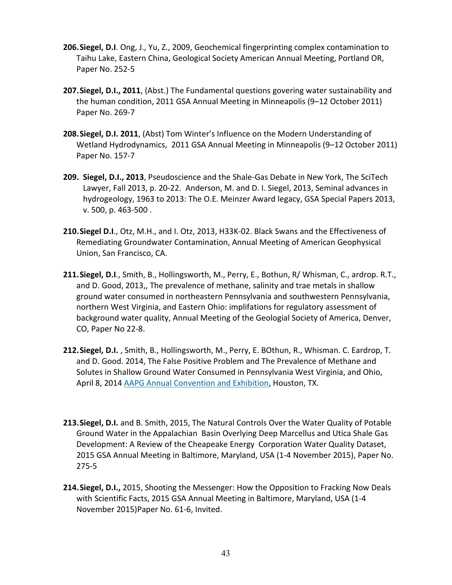- **206.Siegel, D.I**. Ong, J., Yu, Z., 2009, Geochemical fingerprinting complex contamination to Taihu Lake, Eastern China, Geological Society American Annual Meeting, Portland OR, Paper No. 252-5
- **207.Siegel, D.I., 2011**, (Abst.) The Fundamental questions govering water sustainability and the human condition, 2011 GSA Annual Meeting in Minneapolis (9–12 October 2011) Paper No. 269-7
- **208.Siegel, D.I. 2011**, (Abst) Tom Winter's Influence on the Modern Understanding of Wetland Hydrodynamics, 2011 GSA Annual Meeting in Minneapolis (9–12 October 2011) Paper No. 157-7
- **209. Siegel, D.I., 2013**, Pseudoscience and the Shale-Gas Debate in New York, The SciTech Lawyer, Fall 2013, p. 20-22. Anderson, M. and D. I. Siegel, 2013, Seminal advances in hydrogeology, 1963 to 2013: The O.E. Meinzer Award legacy, GSA Special Papers 2013, v. 500, p. 463-500 .
- **210.Siegel D.I**., Otz, M.H., and I. Otz, 2013, H33K-02. Black Swans and the Effectiveness of Remediating Groundwater Contamination, Annual Meeting of American Geophysical Union, San Francisco, CA.
- **211.Siegel, D.I**., Smith, B., Hollingsworth, M., Perry, E., Bothun, R/ Whisman, C., ardrop. R.T., and D. Good, 2013,, The prevalence of methane, salinity and trae metals in shallow ground water consumed in northeastern Pennsylvania and southwestern Pennsylvania, northern West Virginia, and Eastern Ohio: implifations for regulatory assessment of background water quality, Annual Meeting of the Geologial Society of America, Denver, CO, Paper No 22-8.
- **212.Siegel, D.I.** , Smith, B., Hollingsworth, M., Perry, E. BOthun, R., Whisman. C. Eardrop, T. and D. Good. 2014, The False Positive Problem and The Prevalence of Methane and Solutes in Shallow Ground Water Consumed in Pennsylvania West Virginia, and Ohio, April 8, 2014 [AAPG Annual Convention and Exhibition,](http://www.searchanddiscovery.com/abstracts/html/2014/90189ace/abstracts/) Houston, TX.
- **213.Siegel, D.I.** and B. Smith, 2015, The Natural Controls Over the Water Quality of Potable Ground Water in the Appalachian Basin Overlying Deep Marcellus and Utica Shale Gas Development: A Review of the Cheapeake Energy Corporation Water Quality Dataset, 2015 GSA Annual Meeting in Baltimore, Maryland, USA (1-4 November 2015), Paper No. 275-5
- **214.Siegel, D.I.,** 2015, Shooting the Messenger: How the Opposition to Fracking Now Deals with Scientific Facts, 2015 GSA Annual Meeting in Baltimore, Maryland, USA (1-4 November 2015)Paper No. 61-6, Invited.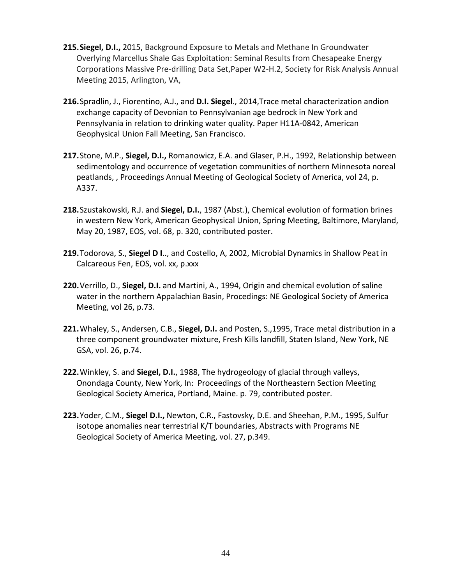- **215.Siegel, D.I.,** 2015, Background Exposure to Metals and Methane In Groundwater Overlying Marcellus Shale Gas Exploitation: Seminal Results from Chesapeake Energy Corporations Massive Pre-drilling Data Set,Paper W2-H.2, Society for Risk Analysis Annual Meeting 2015, Arlington, VA,
- **216.**Spradlin, J., Fiorentino, A.J., and **D.I. Siegel**., 2014,Trace metal characterization andion exchange capacity of Devonian to Pennsylvanian age bedrock in New York and Pennsylvania in relation to drinking water quality. Paper H11A-0842, American Geophysical Union Fall Meeting, San Francisco.
- **217.**Stone, M.P., **Siegel, D.I.,** Romanowicz, E.A. and Glaser, P.H., 1992, Relationship between sedimentology and occurrence of vegetation communities of northern Minnesota noreal peatlands, , Proceedings Annual Meeting of Geological Society of America, vol 24, p. A337.
- **218.**Szustakowski, R.J. and **Siegel, D.I.**, 1987 (Abst.), Chemical evolution of formation brines in western New York, American Geophysical Union, Spring Meeting, Baltimore, Maryland, May 20, 1987, EOS, vol. 68, p. 320, contributed poster.
- **219.**Todorova, S., **Siegel D I**.., and Costello, A, 2002, Microbial Dynamics in Shallow Peat in Calcareous Fen, EOS, vol. xx, p.xxx
- **220.**Verrillo, D., **Siegel, D.I.** and Martini, A., 1994, Origin and chemical evolution of saline water in the northern Appalachian Basin, Procedings: NE Geological Society of America Meeting, vol 26, p.73.
- **221.**Whaley, S., Andersen, C.B., **Siegel, D.I.** and Posten, S.,1995, Trace metal distribution in a three component groundwater mixture, Fresh Kills landfill, Staten Island, New York, NE GSA, vol. 26, p.74.
- **222.**Winkley, S. and **Siegel, D.I.**, 1988, The hydrogeology of glacial through valleys, Onondaga County, New York, In: Proceedings of the Northeastern Section Meeting Geological Society America, Portland, Maine. p. 79, contributed poster.
- **223.**Yoder, C.M., **Siegel D.I.,** Newton, C.R., Fastovsky, D.E. and Sheehan, P.M., 1995, Sulfur isotope anomalies near terrestrial K/T boundaries, Abstracts with Programs NE Geological Society of America Meeting, vol. 27, p.349.